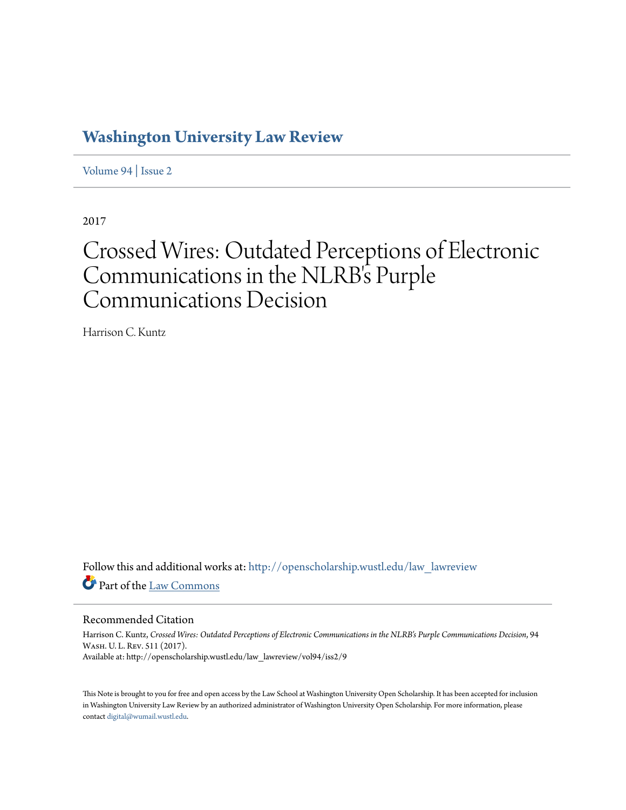# **[Washington University Law Review](http://openscholarship.wustl.edu/law_lawreview?utm_source=openscholarship.wustl.edu%2Flaw_lawreview%2Fvol94%2Fiss2%2F9&utm_medium=PDF&utm_campaign=PDFCoverPages)**

[Volume 94](http://openscholarship.wustl.edu/law_lawreview/vol94?utm_source=openscholarship.wustl.edu%2Flaw_lawreview%2Fvol94%2Fiss2%2F9&utm_medium=PDF&utm_campaign=PDFCoverPages) | [Issue 2](http://openscholarship.wustl.edu/law_lawreview/vol94/iss2?utm_source=openscholarship.wustl.edu%2Flaw_lawreview%2Fvol94%2Fiss2%2F9&utm_medium=PDF&utm_campaign=PDFCoverPages)

2017

# Crossed Wires: Outdated Perceptions of Electronic Communications in the NLRB's Purple Communications Decision

Harrison C. Kuntz

Follow this and additional works at: [http://openscholarship.wustl.edu/law\\_lawreview](http://openscholarship.wustl.edu/law_lawreview?utm_source=openscholarship.wustl.edu%2Flaw_lawreview%2Fvol94%2Fiss2%2F9&utm_medium=PDF&utm_campaign=PDFCoverPages) Part of the [Law Commons](http://network.bepress.com/hgg/discipline/578?utm_source=openscholarship.wustl.edu%2Flaw_lawreview%2Fvol94%2Fiss2%2F9&utm_medium=PDF&utm_campaign=PDFCoverPages)

#### Recommended Citation

Harrison C. Kuntz, *Crossed Wires: Outdated Perceptions of Electronic Communications in the NLRB's Purple Communications Decision*, 94 Wash. U. L. Rev. 511 (2017). Available at: http://openscholarship.wustl.edu/law\_lawreview/vol94/iss2/9

This Note is brought to you for free and open access by the Law School at Washington University Open Scholarship. It has been accepted for inclusion in Washington University Law Review by an authorized administrator of Washington University Open Scholarship. For more information, please contact [digital@wumail.wustl.edu.](mailto:digital@wumail.wustl.edu)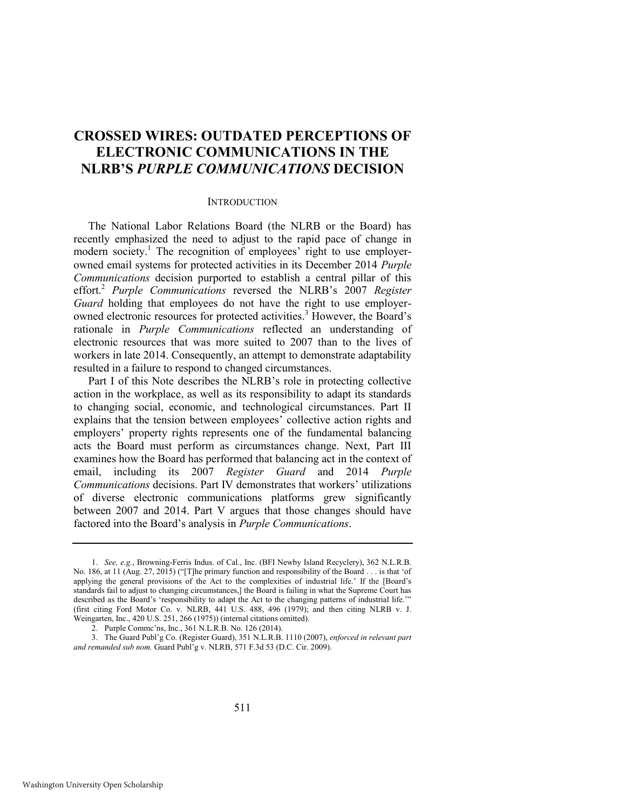## **CROSSED WIRES: OUTDATED PERCEPTIONS OF ELECTRONIC COMMUNICATIONS IN THE NLRB'S** *PURPLE COMMUNICATIONS* **DECISION**

#### **INTRODUCTION**

The National Labor Relations Board (the NLRB or the Board) has recently emphasized the need to adjust to the rapid pace of change in modern society.<sup>1</sup> The recognition of employees' right to use employerowned email systems for protected activities in its December 2014 *Purple Communications* decision purported to establish a central pillar of this effort.<sup>2</sup> *Purple Communications* reversed the NLRB's 2007 *Register Guard* holding that employees do not have the right to use employerowned electronic resources for protected activities.<sup>3</sup> However, the Board's rationale in *Purple Communications* reflected an understanding of electronic resources that was more suited to 2007 than to the lives of workers in late 2014. Consequently, an attempt to demonstrate adaptability resulted in a failure to respond to changed circumstances.

Part I of this Note describes the NLRB's role in protecting collective action in the workplace, as well as its responsibility to adapt its standards to changing social, economic, and technological circumstances. Part II explains that the tension between employees' collective action rights and employers' property rights represents one of the fundamental balancing acts the Board must perform as circumstances change. Next, Part III examines how the Board has performed that balancing act in the context of email, including its 2007 *Register Guard* and 2014 *Purple Communications* decisions. Part IV demonstrates that workers' utilizations of diverse electronic communications platforms grew significantly between 2007 and 2014. Part V argues that those changes should have factored into the Board's analysis in *Purple Communications*.

<sup>1.</sup> *See, e.g.*, Browning-Ferris Indus. of Cal., Inc. (BFI Newby Island Recyclery), 362 N.L.R.B. No. 186, at 11 (Aug. 27, 2015) ("[T]he primary function and responsibility of the Board . . . is that 'of applying the general provisions of the Act to the complexities of industrial life.' If the [Board's standards fail to adjust to changing circumstances,] the Board is failing in what the Supreme Court has described as the Board's 'responsibility to adapt the Act to the changing patterns of industrial life.'" (first citing Ford Motor Co. v. NLRB, 441 U.S. 488, 496 (1979); and then citing NLRB v. J. Weingarten, Inc., 420 U.S. 251, 266 (1975)) (internal citations omitted).

<sup>2.</sup> Purple Commc'ns, Inc., 361 N.L.R.B. No. 126 (2014).

<sup>3.</sup> The Guard Publ'g Co. (Register Guard), 351 N.L.R.B. 1110 (2007), *enforced in relevant part and remanded sub nom.* Guard Publ'g v. NLRB, 571 F.3d 53 (D.C. Cir. 2009).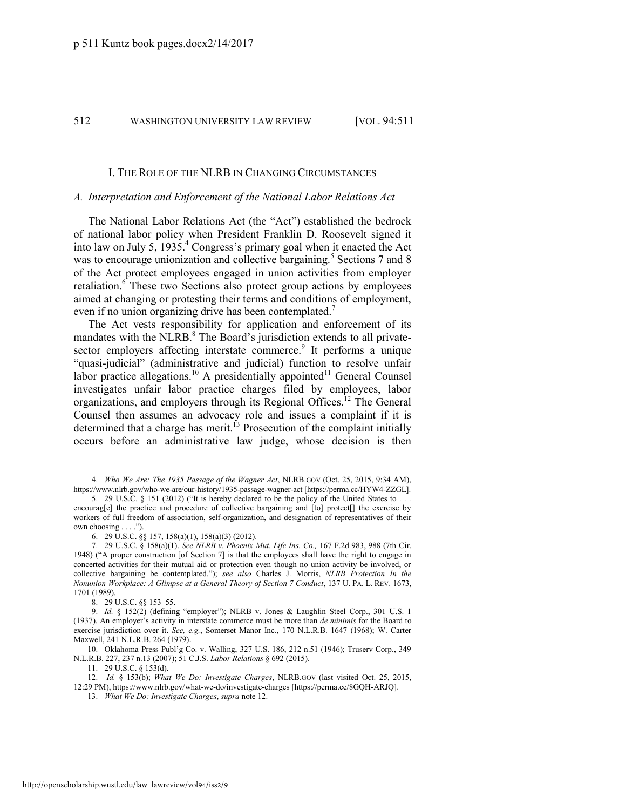#### I. THE ROLE OF THE NLRB IN CHANGING CIRCUMSTANCES

#### *A. Interpretation and Enforcement of the National Labor Relations Act*

The National Labor Relations Act (the "Act") established the bedrock of national labor policy when President Franklin D. Roosevelt signed it into law on July 5,  $1935<sup>4</sup>$  Congress's primary goal when it enacted the Act was to encourage unionization and collective bargaining.<sup>5</sup> Sections 7 and 8 of the Act protect employees engaged in union activities from employer retaliation.<sup>6</sup> These two Sections also protect group actions by employees aimed at changing or protesting their terms and conditions of employment, even if no union organizing drive has been contemplated.<sup>7</sup>

<span id="page-2-1"></span><span id="page-2-0"></span>The Act vests responsibility for application and enforcement of its mandates with the NLRB. $^8$  The Board's jurisdiction extends to all privatesector employers affecting interstate commerce.<sup>9</sup> It performs a unique "quasi-judicial" (administrative and judicial) function to resolve unfair labor practice allegations.<sup>10</sup> A presidentially appointed<sup>11</sup> General Counsel investigates unfair labor practice charges filed by employees, labor organizations, and employers through its Regional Offices.<sup>12</sup> The General Counsel then assumes an advocacy role and issues a complaint if it is determined that a charge has merit.<sup>13</sup> Prosecution of the complaint initially occurs before an administrative law judge, whose decision is then

8. 29 U.S.C. §§ 153–55.

<sup>4.</sup> *Who We Are: The 1935 Passage of the Wagner Act*, NLRB.GOV (Oct. 25, 2015, 9:34 AM), https://www.nlrb.gov/who-we-are/our-history/1935-passage-wagner-act [https://perma.cc/HYW4-ZZGL].

<sup>5.</sup> 29 U.S.C. § 151 (2012) ("It is hereby declared to be the policy of the United States to . . . encourag[e] the practice and procedure of collective bargaining and [to] protect[] the exercise by workers of full freedom of association, self-organization, and designation of representatives of their own choosing . . . .").

<sup>6. 29</sup> U.S.C. §§ 157, 158(a)(1), 158(a)(3) (2012).

<sup>7. 29</sup> U.S.C. § 158(a)(1). *See NLRB v. Phoenix Mut. Life Ins. Co.,* 167 F.2d 983, 988 (7th Cir. 1948) ("A proper construction [of [Section 7\]](https://a.next.westlaw.com/Link/Document/FullText?findType=L&pubNum=1000546&cite=29USCAS7&originatingDoc=Ic244cf0136ed11db8382aef8d8e33c97&refType=LQ&originationContext=document&transitionType=DocumentItem&contextData=(sc.UserEnteredCitation)) is that the employees shall have the right to engage in concerted activities for their mutual aid or protection even though no union activity be involved, or collective bargaining be contemplated."); *see also* Charles J. Morris, *NLRB Protection In the Nonunion Workplace: A Glimpse at a General Theory of Section 7 Conduct*, 137 U. PA. L. REV. 1673, 1701 (1989).

<sup>9.</sup> *Id.* § 152(2) (defining "employer"); NLRB v. Jones & Laughlin Steel Corp., 301 U.S. 1 (1937). An employer's activity in interstate commerce must be more than *de minimis* for the Board to exercise jurisdiction over it. *See, e.g.*, Somerset Manor Inc., 170 N.L.R.B. 1647 (1968); W. Carter Maxwell, 241 N.L.R.B. 264 (1979).

<sup>10.</sup> Oklahoma Press Publ'g Co. v. Walling, 327 U.S. 186, 212 n.51 (1946); Truserv Corp., 349 N.L.R.B. 227, 237 n.13 (2007); 51 C.J.S. *Labor Relations* § 692 (2015).

<sup>11. 29</sup> U.S.C. § 153(d).

<sup>12.</sup> *Id.* § 153(b); *What We Do: Investigate Charges*, NLRB.GOV (last visited Oct. 25, 2015, 12:29 PM), https://www.nlrb.gov/what-we-do/investigate-charges [https://perma.cc/8GQH-ARJQ].

<sup>13.</sup> *What We Do: Investigate Charges*, *supra* not[e 12.](#page-2-0)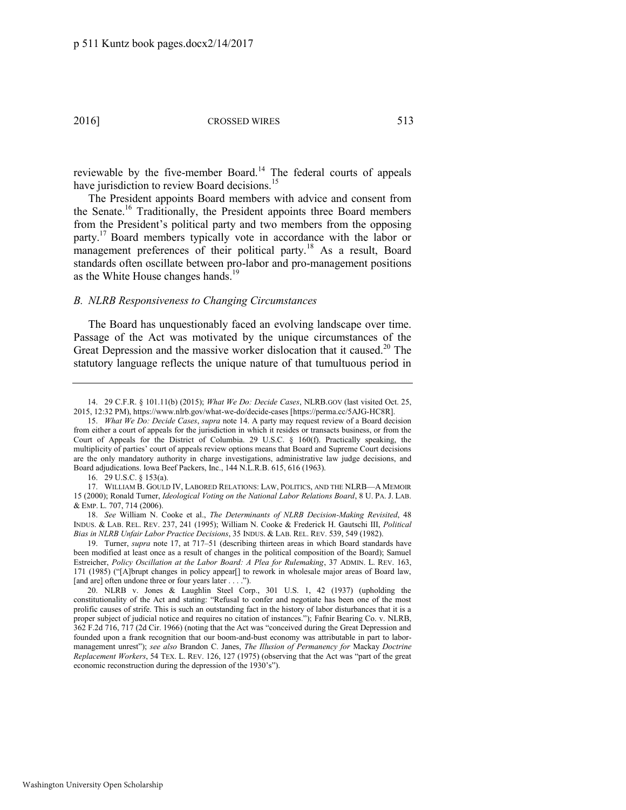<span id="page-3-0"></span>reviewable by the five-member Board.<sup>14</sup> The federal courts of appeals have jurisdiction to review Board decisions.<sup>15</sup>

<span id="page-3-1"></span>The President appoints Board members with advice and consent from the Senate.<sup>16</sup> Traditionally, the President appoints three Board members from the President's political party and two members from the opposing party.<sup>17</sup> Board members typically vote in accordance with the labor or management preferences of their political party.<sup>18</sup> As a result, Board standards often oscillate between pro-labor and pro-management positions as the White House changes hands.<sup>19</sup>

#### *B. NLRB Responsiveness to Changing Circumstances*

The Board has unquestionably faced an evolving landscape over time. Passage of the Act was motivated by the unique circumstances of the Great Depression and the massive worker dislocation that it caused.<sup>20</sup> The statutory language reflects the unique nature of that tumultuous period in

16. 29 U.S.C. § 153(a).

17. WILLIAM B. GOULD IV, LABORED RELATIONS: LAW, POLITICS, AND THE NLRB—A MEMOIR 15 (2000); Ronald Turner, *Ideological Voting on the National Labor Relations Board*, 8 U. PA. J. LAB. & EMP. L. 707, 714 (2006).

18. *See* William N. Cooke et al., *The Determinants of NLRB Decision-Making Revisited*, 48 INDUS. & LAB. REL. REV. 237, 241 (1995); William N. Cooke & Frederick H. Gautschi III, *Political Bias in NLRB Unfair Labor Practice Decisions*, 35 INDUS. & LAB. REL. REV. 539, 549 (1982).

19. Turner, *supra* note [17,](#page-3-1) at 717–51 (describing thirteen areas in which Board standards have been modified at least once as a result of changes in the political composition of the Board); Samuel Estreicher, *Policy Oscillation at the Labor Board: A Plea for Rulemaking*, 37 ADMIN. L. REV. 163, 171 (1985) ("[A]brupt changes in policy appear[] to rework in wholesale major areas of Board law, [and are] often undone three or four years later . . . .").

20. NLRB v. Jones & Laughlin Steel Corp., 301 U.S. 1, 42 (1937) (upholding the constitutionality of the Act and stating: "Refusal to confer and negotiate has been one of the most prolific causes of strife. This is such an outstanding fact in the history of labor disturbances that it is a proper subject of judicial notice and requires no citation of instances."); Fafnir Bearing Co. v. NLRB, 362 F.2d 716, 717 (2d Cir. 1966) (noting that the Act was "conceived during the Great Depression and founded upon a frank recognition that our boom-and-bust economy was attributable in part to labormanagement unrest"); *see also* Brandon C. Janes, *The Illusion of Permanency for* Mackay *Doctrine Replacement Workers*, 54 TEX. L. REV. 126, 127 (1975) (observing that the Act was "part of the great economic reconstruction during the depression of the 1930's").

<sup>14. 29</sup> C.F.R. § 101.11(b) (2015); *What We Do: Decide Cases*, NLRB.GOV (last visited Oct. 25, 2015, 12:32 PM), https://www.nlrb.gov/what-we-do/decide-cases [https://perma.cc/5AJG-HC8R].

<sup>15.</sup> *What We Do: Decide Cases*, *supra* note [14.](#page-3-0) A party may request review of a Board decision from either a court of appeals for the jurisdiction in which it resides or transacts business, or from the Court of Appeals for the District of Columbia. 29 U.S.C. § 160(f). Practically speaking, the multiplicity of parties' court of appeals review options means that Board and Supreme Court decisions are the only mandatory authority in charge investigations, administrative law judge decisions, and Board adjudications. Iowa Beef Packers, Inc., 144 N.L.R.B. 615, 616 (1963).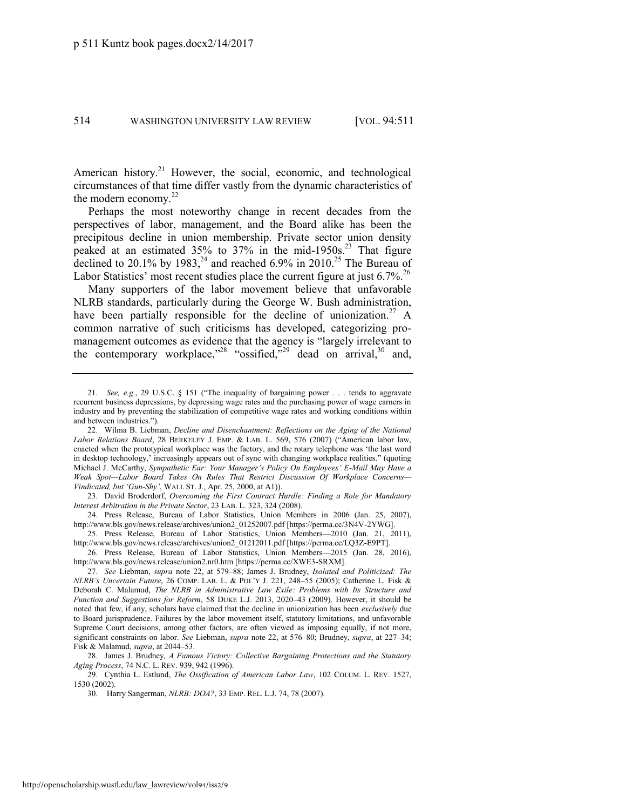<span id="page-4-1"></span>

American history.<sup>21</sup> However, the social, economic, and technological circumstances of that time differ vastly from the dynamic characteristics of the modern economy. $^{22}$ 

<span id="page-4-0"></span>Perhaps the most noteworthy change in recent decades from the perspectives of labor, management, and the Board alike has been the precipitous decline in union membership. Private sector union density peaked at an estimated  $35\%$  to  $37\%$  in the mid-1950s.<sup>23</sup> That figure declined to 20.1% by 1983,<sup>24</sup> and reached 6.9% in 2010.<sup>25</sup> The Bureau of Labor Statistics' most recent studies place the current figure at just  $6.7\%$ <sup>26</sup>

Many supporters of the labor movement believe that unfavorable NLRB standards, particularly during the George W. Bush administration, have been partially responsible for the decline of unionization.<sup>27</sup> A common narrative of such criticisms has developed, categorizing promanagement outcomes as evidence that the agency is "largely irrelevant to the contemporary workplace,"<sup>28</sup> "ossified,"<sup>29</sup> dead on arrival,<sup>30</sup> and,

23. David Broderdorf, *Overcoming the First Contract Hurdle: Finding a Role for Mandatory Interest Arbitration in the Private Sector*, 23 LAB. L. 323, 324 (2008).

24. Press Release, Bureau of Labor Statistics, Union Members in 2006 (Jan. 25, 2007), http://www.bls.gov/news.release/archives/union2\_01252007.pdf [https://perma.cc/3N4V-2YWG].

25. Press Release, Bureau of Labor Statistics, Union Members—2010 (Jan. 21, 2011), http://www.bls.gov/news.release/archives/union2\_01212011.pdf [https://perma.cc/LQ3Z-E9PT].

26. Press Release, Bureau of Labor Statistics, Union Members—2015 (Jan. 28, 2016), http://www.bls.gov/news.release/union2.nr0.htm [https://perma.cc/XWE3-SRXM].

28. James J. Brudney, *A Famous Victory: Collective Bargaining Protections and the Statutory Aging Process*, 74 N.C. L. REV. 939, 942 (1996).

29. Cynthia L. Estlund, *The Ossification of American Labor Law*, 102 COLUM. L. REV. 1527, 1530 (2002).

30. Harry Sangerman, *NLRB: DOA?*, 33 EMP. REL. L.J. 74, 78 (2007).

<sup>21.</sup> *See, e.g.*, 29 U.S.C. § 151 ("The inequality of bargaining power . . . tends to aggravate recurrent business depressions, by depressing wage rates and the purchasing power of wage earners in industry and by preventing the stabilization of competitive wage rates and working conditions within and between industries.").

<sup>22.</sup> Wilma B. Liebman, *Decline and Disenchantment: Reflections on the Aging of the National Labor Relations Board*, 28 BERKELEY J. EMP. & LAB. L. 569, 576 (2007) ("American labor law, enacted when the prototypical workplace was the factory, and the rotary telephone was 'the last word in desktop technology,' increasingly appears out of sync with changing workplace realities." (quoting Michael J. McCarthy, *Sympathetic Ear: Your Manager's Policy On Employees' E-Mail May Have a Weak Spot—Labor Board Takes On Rules That Restrict Discussion Of Workplace Concerns— Vindicated, but 'Gun-Shy'*, WALL ST. J., Apr. 25, 2000, at A1)).

<sup>27.</sup> *See* Liebman, *supra* note [22,](#page-4-0) at 579–88; James J. Brudney, *Isolated and Politicized: The NLRB's Uncertain Future*, 26 COMP. LAB. L. & POL'Y J. 221, 248–55 (2005); Catherine L. Fisk & Deborah C. Malamud, *The NLRB in Administrative Law Exile: Problems with Its Structure and Function and Suggestions for Reform*, 58 DUKE L.J. 2013, 2020–43 (2009). However, it should be noted that few, if any, scholars have claimed that the decline in unionization has been *exclusively* due to Board jurisprudence. Failures by the labor movement itself, statutory limitations, and unfavorable Supreme Court decisions, among other factors, are often viewed as imposing equally, if not more, significant constraints on labor. *See* Liebman, *supra* note [22,](#page-4-0) at 576–80; Brudney, *supra*, at 227–34; Fisk & Malamud, *supra*, at 2044–53.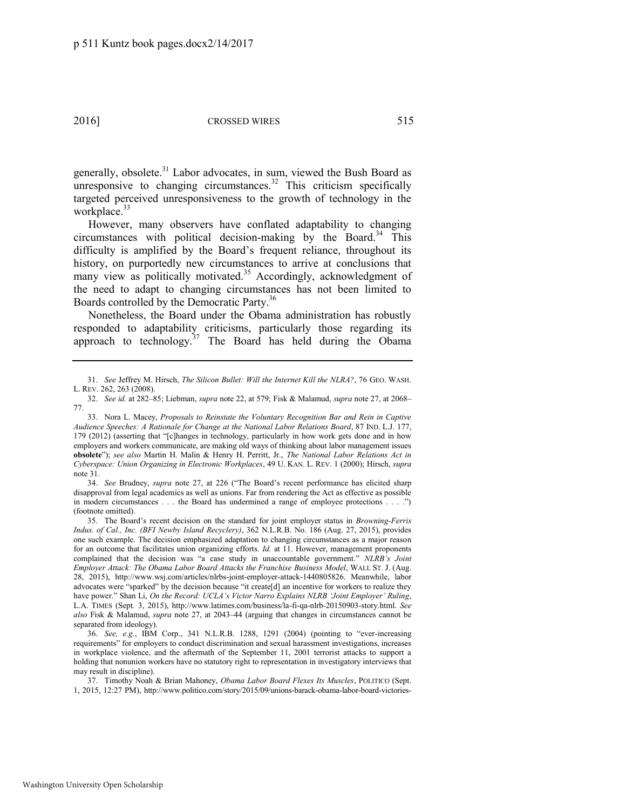<span id="page-5-0"></span>generally, obsolete.<sup>31</sup> Labor advocates, in sum, viewed the Bush Board as unresponsive to changing circumstances.<sup>32</sup> This criticism specifically targeted perceived unresponsiveness to the growth of technology in the workplace. $33$ 

However, many observers have conflated adaptability to changing circumstances with political decision-making by the Board.<sup>34</sup> This difficulty is amplified by the Board's frequent reliance, throughout its history, on purportedly new circumstances to arrive at conclusions that many view as politically motivated.<sup>35</sup> Accordingly, acknowledgment of the need to adapt to changing circumstances has not been limited to Boards controlled by the Democratic Party.<sup>36</sup>

Nonetheless, the Board under the Obama administration has robustly responded to adaptability criticisms, particularly those regarding its approach to technology. $37$  The Board has held during the Obama

34. *See* Brudney, *supra* note [27](#page-4-1), at 226 ("The Board's recent performance has elicited sharp disapproval from legal academics as well as unions. Far from rendering the Act as effective as possible in modern circumstances . . . the Board has undermined a range of employee protections . . . .") (footnote omitted).

<sup>31.</sup> *See* Jeffrey M. Hirsch, *The Silicon Bullet: Will the Internet Kill the NLRA?*, 76 GEO. WASH. L. REV. 262, 263 (2008).

<sup>32.</sup> *See id.* at 282–85; Liebman, *supra* note [22,](#page-4-0) at 579; Fisk & Malamud, *supra* not[e 27,](#page-4-1) at 2068– 77.

<sup>33.</sup> Nora L. Macey, *Proposals to Reinstate the Voluntary Recognition Bar and Rein in Captive Audience Speeches: A Rationale for Change at the National Labor Relations Board*, 87 IND. L.J. 177, 179 (2012) (asserting that "[c]hanges in technology, particularly in how work gets done and in how employers and workers communicate, are making old ways of thinking about labor management issues **obsolete**"); *see also* Martin H. Malin & Henry H. Perritt, Jr., *The National Labor Relations Act in Cyberspace: Union Organizing in Electronic Workplaces*, 49 U. KAN. L. REV. 1 (2000); Hirsch, *supra*  note [31.](#page-5-0)

<sup>35.</sup> The Board's recent decision on the standard for joint employer status in *Browning-Ferris Indus. of Cal., Inc. (BFI Newby Island Recyclery)*, 362 N.L.R.B. No. 186 (Aug. 27, 2015), provides one such example. The decision emphasized adaptation to changing circumstances as a major reason for an outcome that facilitates union organizing efforts. *Id.* at 11. However, management proponents complained that the decision was "a case study in unaccountable government." *NLRB's Joint Employer Attack: The Obama Labor Board Attacks the Franchise Business Model*, WALL ST. J. (Aug. 28, 2015), http://www.wsj.com/articles/nlrbs-joint-employer-attack-1440805826. Meanwhile, labor advocates were "sparked" by the decision because "it create[d] an incentive for workers to realize they have power." Shan Li, *On the Record: UCLA's Victor Narro Explains NLRB 'Joint Employer' Ruling*, L.A. TIMES (Sept. 3, 2015), http://www.latimes.com/business/la-fi-qa-nlrb-20150903-story.html. *See also* Fisk & Malamud, *supra* note [27,](#page-4-1) at 2043–44 (arguing that changes in circumstances cannot be separated from ideology).

<sup>36.</sup> *See, e.g.*, IBM Corp., 341 N.L.R.B. 1288, 1291 (2004) (pointing to "ever-increasing requirements" for employers to conduct discrimination and sexual harassment investigations, increases in workplace violence, and the aftermath of the September 11, 2001 terrorist attacks to support a holding that nonunion workers have no statutory right to representation in investigatory interviews that may result in discipline).

<sup>37.</sup> Timothy Noah & Brian Mahoney, *Obama Labor Board Flexes Its Muscles*, POLITICO (Sept. 1, 2015, 12:27 PM), http://www.politico.com/story/2015/09/unions-barack-obama-labor-board-victories-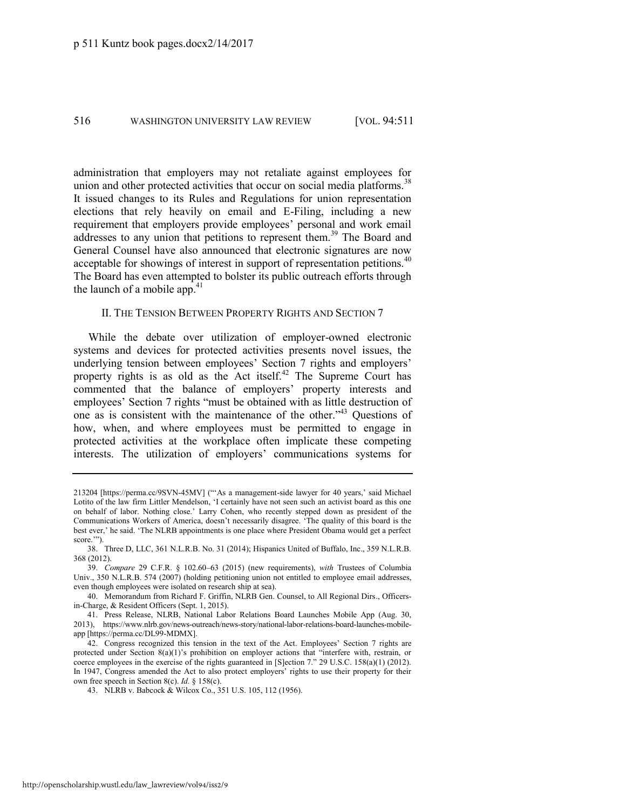administration that employers may not retaliate against employees for union and other protected activities that occur on social media platforms.<sup>38</sup> It issued changes to its Rules and Regulations for union representation elections that rely heavily on email and E-Filing, including a new requirement that employers provide employees' personal and work email addresses to any union that petitions to represent them.<sup>39</sup> The Board and General Counsel have also announced that electronic signatures are now acceptable for showings of interest in support of representation petitions.<sup>40</sup> The Board has even attempted to bolster its public outreach efforts through the launch of a mobile app. $41$ 

#### II. THE TENSION BETWEEN PROPERTY RIGHTS AND SECTION 7

While the debate over utilization of employer-owned electronic systems and devices for protected activities presents novel issues, the underlying tension between employees' Section 7 rights and employers' property rights is as old as the Act itself. $42$  The Supreme Court has commented that the balance of employers' property interests and employees' Section 7 rights "must be obtained with as little destruction of one as is consistent with the maintenance of the other." <sup>43</sup> Questions of how, when, and where employees must be permitted to engage in protected activities at the workplace often implicate these competing interests. The utilization of employers' communications systems for

<sup>213204 [</sup>https://perma.cc/9SVN-45MV] ("'As a management-side lawyer for 40 years,' said Michael Lotito of the law firm Littler Mendelson, 'I certainly have not seen such an activist board as this one on behalf of labor. Nothing close.' Larry Cohen, who recently stepped down as president of the Communications Workers of America, doesn't necessarily disagree. 'The quality of this board is the best ever,' he said. 'The NLRB appointments is one place where President Obama would get a perfect score.'").

<sup>38.</sup> Three D, LLC, 361 N.L.R.B. No. 31 (2014); Hispanics United of Buffalo, Inc., 359 N.L.R.B. 368 (2012).

<sup>39.</sup> *Compare* 29 C.F.R. § 102.60–63 (2015) (new requirements), *with* Trustees of Columbia Univ., 350 N.L.R.B. 574 (2007) (holding petitioning union not entitled to employee email addresses, even though employees were isolated on research ship at sea).

<sup>40.</sup> Memorandum from Richard F. Griffin, NLRB Gen. Counsel, to All Regional Dirs., Officersin-Charge, & Resident Officers (Sept. 1, 2015).

<sup>41.</sup> Press Release, NLRB, National Labor Relations Board Launches Mobile App (Aug. 30, 2013), https://www.nlrb.gov/news-outreach/news-story/national-labor-relations-board-launches-mobileapp [https://perma.cc/DL99-MDMX].

<sup>42.</sup> Congress recognized this tension in the text of the Act. Employees' Section 7 rights are protected under Section 8(a)(1)'s prohibition on employer actions that "interfere with, restrain, or coerce employees in the exercise of the rights guaranteed in [S]ection 7." 29 U.S.C. 158(a)(1) (2012). In 1947, Congress amended the Act to also protect employers' rights to use their property for their own free speech in Section 8(c). *Id.* § 158(c).

<sup>43.</sup> NLRB v. Babcock & Wilcox Co., 351 U.S. 105, 112 (1956).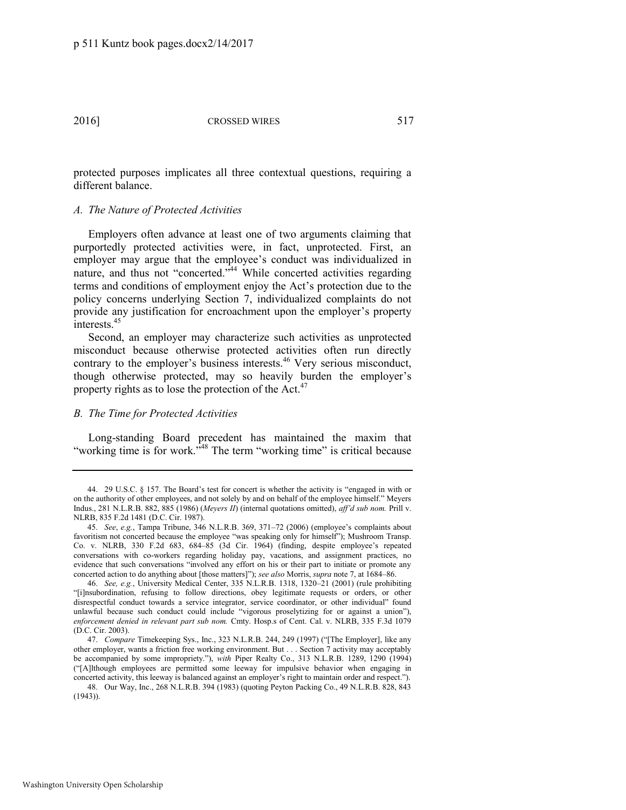protected purposes implicates all three contextual questions, requiring a different balance.

#### *A. The Nature of Protected Activities*

Employers often advance at least one of two arguments claiming that purportedly protected activities were, in fact, unprotected. First, an employer may argue that the employee's conduct was individualized in nature, and thus not "concerted.<sup>544</sup> While concerted activities regarding terms and conditions of employment enjoy the Act's protection due to the policy concerns underlying Section 7, individualized complaints do not provide any justification for encroachment upon the employer's property  $interests$ <sup>45</sup>

Second, an employer may characterize such activities as unprotected misconduct because otherwise protected activities often run directly contrary to the employer's business interests.<sup>46</sup> Very serious misconduct, though otherwise protected, may so heavily burden the employer's property rights as to lose the protection of the Act. $47$ 

#### *B. The Time for Protected Activities*

Long-standing Board precedent has maintained the maxim that "working time is for work."<sup>48</sup> The term "working time" is critical because

<sup>44.</sup> 29 U.S.C. § 157. The Board's test for concert is whether the activity is "engaged in with or on the authority of other employees, and not solely by and on behalf of the employee himself." Meyers Indus., 281 N.L.R.B. 882, 885 (1986) (*Meyers II*) (internal quotations omitted), *aff'd sub nom.* Prill v. NLRB, 835 F.2d 1481 (D.C. Cir. 1987).

<sup>45.</sup> *See*, *e.g.*, Tampa Tribune, 346 N.L.R.B. 369, 371–72 (2006) (employee's complaints about favoritism not concerted because the employee "was speaking only for himself"); Mushroom Transp. Co. v. NLRB, 330 F.2d 683, 684–85 (3d Cir. 1964) (finding, despite employee's repeated conversations with co-workers regarding holiday pay, vacations, and assignment practices, no evidence that such conversations "involved any effort on his or their part to initiate or promote any concerted action to do anything about [those matters]"); *see also* Morris, *supra* not[e 7,](#page-2-1) at 1684–86.

<sup>46.</sup> *See, e.g.*, University Medical Center, 335 N.L.R.B. 1318, 1320–21 (2001) (rule prohibiting "[i]nsubordination, refusing to follow directions, obey legitimate requests or orders, or other disrespectful conduct towards a service integrator, service coordinator, or other individual" found unlawful because such conduct could include "vigorous proselytizing for or against a union"), *enforcement denied in relevant part sub nom.* Cmty. Hosp.s of Cent. Cal. v. NLRB, 335 F.3d 1079 (D.C. Cir. 2003).

<sup>47.</sup> *Compare* Timekeeping Sys., Inc., 323 N.L.R.B. 244, 249 (1997) ("[The Employer], like any other employer, wants a friction free working environment. But . . . Section 7 activity may acceptably be accompanied by some impropriety."), *with* Piper Realty Co., 313 N.L.R.B. 1289, 1290 (1994) ("[A]lthough employees are permitted some leeway for impulsive behavior when engaging in concerted activity, this leeway is balanced against an employer's right to maintain order and respect.").

<sup>48.</sup> Our Way, Inc., 268 N.L.R.B. 394 (1983) (quoting Peyton Packing Co., 49 N.L.R.B. 828, 843 (1943)).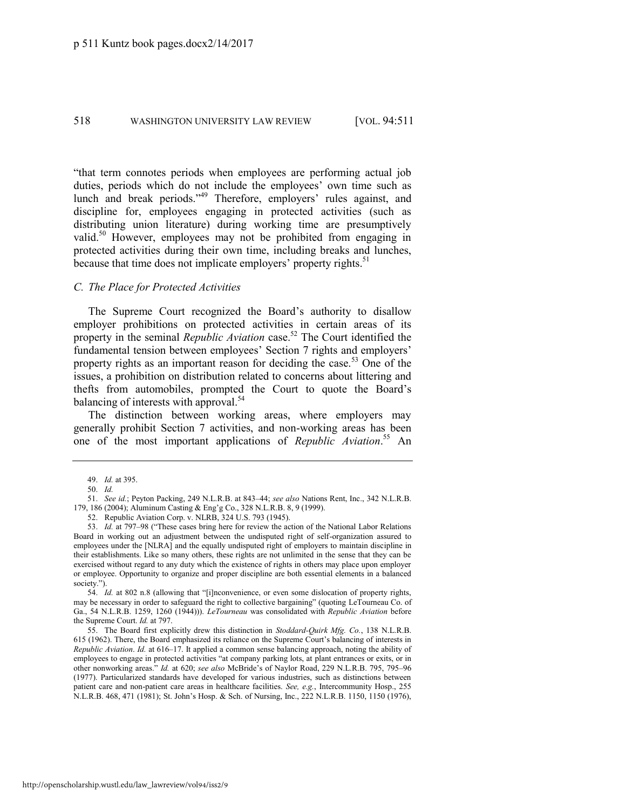"that term connotes periods when employees are performing actual job duties, periods which do not include the employees' own time such as lunch and break periods." <sup>49</sup> Therefore, employers' rules against, and discipline for, employees engaging in protected activities (such as distributing union literature) during working time are presumptively valid.<sup>50</sup> However, employees may not be prohibited from engaging in protected activities during their own time, including breaks and lunches, because that time does not implicate employers' property rights.<sup>51</sup>

#### *C. The Place for Protected Activities*

The Supreme Court recognized the Board's authority to disallow employer prohibitions on protected activities in certain areas of its property in the seminal *Republic Aviation* case.<sup>52</sup> The Court identified the fundamental tension between employees' Section 7 rights and employers' property rights as an important reason for deciding the case.<sup>53</sup> One of the issues, a prohibition on distribution related to concerns about littering and thefts from automobiles, prompted the Court to quote the Board's balancing of interests with approval.<sup>54</sup>

The distinction between working areas, where employers may generally prohibit Section 7 activities, and non-working areas has been one of the most important applications of *Republic Aviation*. <sup>55</sup> An

<sup>49.</sup> *Id.* at 395.

<sup>50.</sup> *Id.*

<sup>51.</sup> *See id.*; Peyton Packing, 249 N.L.R.B. at 843–44; *see also* Nations Rent, Inc., 342 N.L.R.B. 179, 186 (2004); Aluminum Casting & Eng'g Co., 328 N.L.R.B. 8, 9 (1999).

<sup>52.</sup> Republic Aviation Corp. v. NLRB, 324 U.S. 793 (1945).

<sup>53.</sup> *Id.* at 797–98 ("These cases bring here for review the action of the National Labor Relations Board in working out an adjustment between the undisputed right of self-organization assured to employees under the [NLRA] and the equally undisputed right of employers to maintain discipline in their establishments. Like so many others, these rights are not unlimited in the sense that they can be exercised without regard to any duty which the existence of rights in others may place upon employer or employee. Opportunity to organize and proper discipline are both essential elements in a balanced society.").

<sup>54.</sup> *Id.* at 802 n.8 (allowing that "[i]nconvenience, or even some dislocation of property rights, may be necessary in order to safeguard the right to collective bargaining" (quoting LeTourneau Co. of Ga., 54 N.L.R.B. 1259, 1260 (1944))). *LeTourneau* was consolidated with *Republic Aviation* before the Supreme Court. *Id.* at 797.

<sup>55.</sup> The Board first explicitly drew this distinction in *Stoddard-Quirk Mfg. Co.*, 138 N.L.R.B. 615 (1962). There, the Board emphasized its reliance on the Supreme Court's balancing of interests in *Republic Aviation*. *Id.* at 616–17. It applied a common sense balancing approach, noting the ability of employees to engage in protected activities "at company parking lots, at plant entrances or exits, or in other nonworking areas." *Id.* at 620; *see also* McBride's of Naylor Road, 229 N.L.R.B. 795, 795–96 (1977). Particularized standards have developed for various industries, such as distinctions between patient care and non-patient care areas in healthcare facilities. *See, e.g.*, Intercommunity Hosp., 255 N.L.R.B. 468, 471 (1981); St. John's Hosp. & Sch. of Nursing, Inc., 222 N.L.R.B. 1150, 1150 (1976),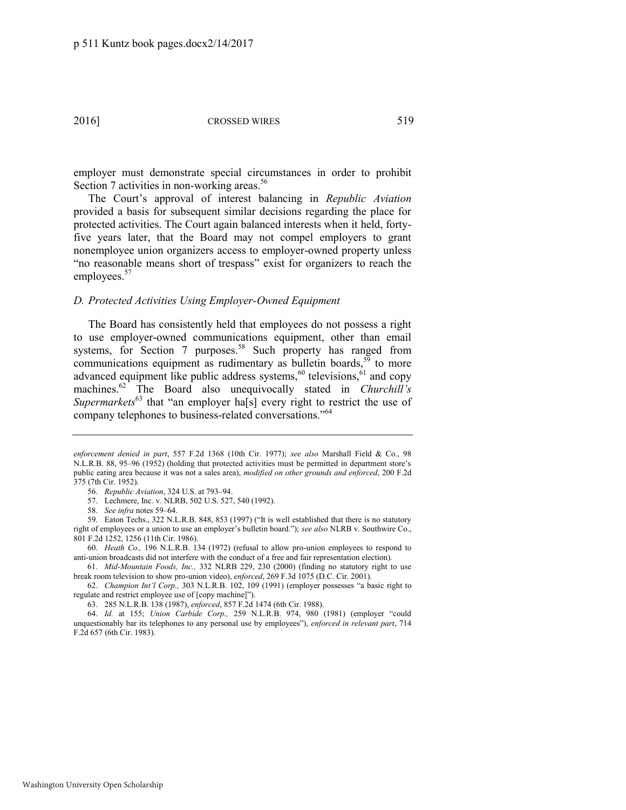employer must demonstrate special circumstances in order to prohibit Section 7 activities in non-working areas.<sup>56</sup>

The Court's approval of interest balancing in *Republic Aviation*  provided a basis for subsequent similar decisions regarding the place for protected activities. The Court again balanced interests when it held, fortyfive years later, that the Board may not compel employers to grant nonemployee union organizers access to employer-owned property unless "no reasonable means short of trespass" exist for organizers to reach the employees.<sup>57</sup>

#### *D. Protected Activities Using Employer-Owned Equipment*

<span id="page-9-0"></span>The Board has consistently held that employees do not possess a right to use employer-owned communications equipment, other than email systems, for Section 7 purposes.<sup>58</sup> Such property has ranged from communications equipment as rudimentary as bulletin boards,  $5<sup>5</sup>$  to more advanced equipment like public address systems, $60$  televisions, $61$  and copy machines.<sup>62</sup> The Board also unequivocally stated in *Churchill's Supermarkets*<sup>63</sup> that "an employer ha<sup>[s]</sup> every right to restrict the use of company telephones to business-related conversations."<sup>64</sup>

*enforcement denied in part*, 557 F.2d 1368 (10th Cir. 1977); *see also* Marshall Field & Co., 98 N.L.R.B. 88, 95–96 (1952) (holding that protected activities must be permitted in department store's public eating area because it was not a sales area), *modified on other grounds and enforced*, 200 F.2d 375 (7th Cir. 1952).

<span id="page-9-1"></span><sup>56.</sup> *Republic Aviation*, 324 U.S. at 793–94.

<sup>57.</sup> Lechmere, Inc. v. NLRB, 502 U.S. 527, 540 (1992).

<sup>58.</sup> *See infra* notes [59](#page-9-0)–[64.](#page-9-1) 

<sup>59.</sup> Eaton Techs., 322 N.L.R.B. 848, 853 (1997) ("It is well established that there is no statutory right of employees or a union to use an employer's bulletin board."); *see also* NLRB v. Southwire Co., 801 F.2d 1252, 1256 (11th Cir. 1986).

<sup>60.</sup> *Heath Co.,* 196 N.L.R.B. 134 (1972) (refusal to allow pro-union employees to respond to anti-union broadcasts did not interfere with the conduct of a free and fair representation election).

<sup>61.</sup> *Mid-Mountain Foods, Inc.,* 332 NLRB 229, 230 (2000) (finding no statutory right to use break room television to show pro-union video), *enforced*, 269 F.3d 1075 (D.C. Cir. 2001).

<sup>62.</sup> *Champion Int'l Corp.,* 303 N.L.R.B. 102, 109 (1991) (employer possesses "a basic right to regulate and restrict employee use of [copy machine]").

<sup>63. 285</sup> N.L.R.B. 138 (1987), *enforced*, 857 F.2d 1474 (6th Cir. 1988).

<sup>64.</sup> *Id.* at 155; *Union Carbide Corp.,* 259 N.L.R.B. 974, 980 (1981) (employer "could unquestionably bar its telephones to any personal use by employees"), *enforced in relevant part*, 714 F.2d 657 (6th Cir. 1983).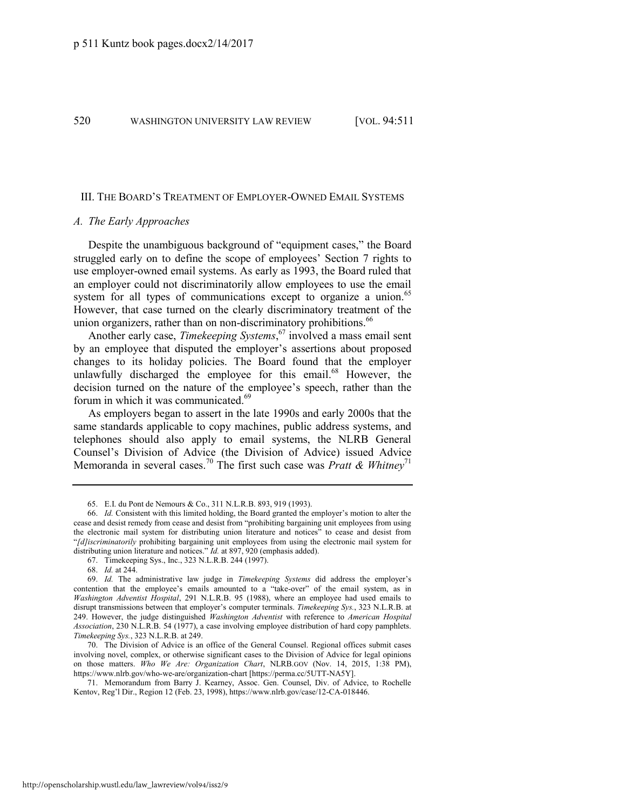#### III. THE BOARD'S TREATMENT OF EMPLOYER-OWNED EMAIL SYSTEMS

#### *A. The Early Approaches*

Despite the unambiguous background of "equipment cases," the Board struggled early on to define the scope of employees' Section 7 rights to use employer-owned email systems. As early as 1993, the Board ruled that an employer could not discriminatorily allow employees to use the email system for all types of communications except to organize a union.<sup>65</sup> However, that case turned on the clearly discriminatory treatment of the union organizers, rather than on non-discriminatory prohibitions.<sup>66</sup>

Another early case, *Timekeeping Systems*, <sup>67</sup> involved a mass email sent by an employee that disputed the employer's assertions about proposed changes to its holiday policies. The Board found that the employer unlawfully discharged the employee for this email.<sup>68</sup> However, the decision turned on the nature of the employee's speech, rather than the forum in which it was communicated.<sup>69</sup>

As employers began to assert in the late 1990s and early 2000s that the same standards applicable to copy machines, public address systems, and telephones should also apply to email systems, the NLRB General Counsel's Division of Advice (the Division of Advice) issued Advice Memoranda in several cases.<sup>70</sup> The first such case was *Pratt & Whitney*<sup>71</sup>

<sup>65.</sup> E.I. du Pont de Nemours & Co., 311 N.L.R.B. 893, 919 (1993).

<sup>66.</sup> *Id.* Consistent with this limited holding, the Board granted the employer's motion to alter the cease and desist remedy from cease and desist from "prohibiting bargaining unit employees from using the electronic mail system for distributing union literature and notices" to cease and desist from "*[d]iscriminatorily* prohibiting bargaining unit employees from using the electronic mail system for distributing union literature and notices." *Id.* at 897, 920 (emphasis added).

<sup>67.</sup> Timekeeping Sys., Inc., 323 N.L.R.B. 244 (1997).

<sup>68.</sup> *Id.* at 244.

<sup>69.</sup> *Id.* The administrative law judge in *Timekeeping Systems* did address the employer's contention that the employee's emails amounted to a "take-over" of the email system, as in *Washington Adventist Hospital*, 291 N.L.R.B. 95 (1988), where an employee had used emails to disrupt transmissions between that employer's computer terminals. *Timekeeping Sys.*, 323 N.L.R.B. at 249. However, the judge distinguished *Washington Adventist* with reference to *American Hospital Association*, 230 N.L.R.B. 54 (1977), a case involving employee distribution of hard copy pamphlets. *Timekeeping Sys.*, 323 N.L.R.B. at 249.

<sup>70.</sup> The Division of Advice is an office of the General Counsel. Regional offices submit cases involving novel, complex, or otherwise significant cases to the Division of Advice for legal opinions on those matters. *Who We Are: Organization Chart*, NLRB.GOV (Nov. 14, 2015, 1:38 PM), https://www.nlrb.gov/who-we-are/organization-chart [https://perma.cc/5UTT-NA5Y].

<sup>71.</sup> Memorandum from Barry J. Kearney, Assoc. Gen. Counsel, Div. of Advice, to Rochelle Kentov, Reg'l Dir., Region 12 (Feb. 23, 1998), https://www.nlrb.gov/case/12-CA-018446.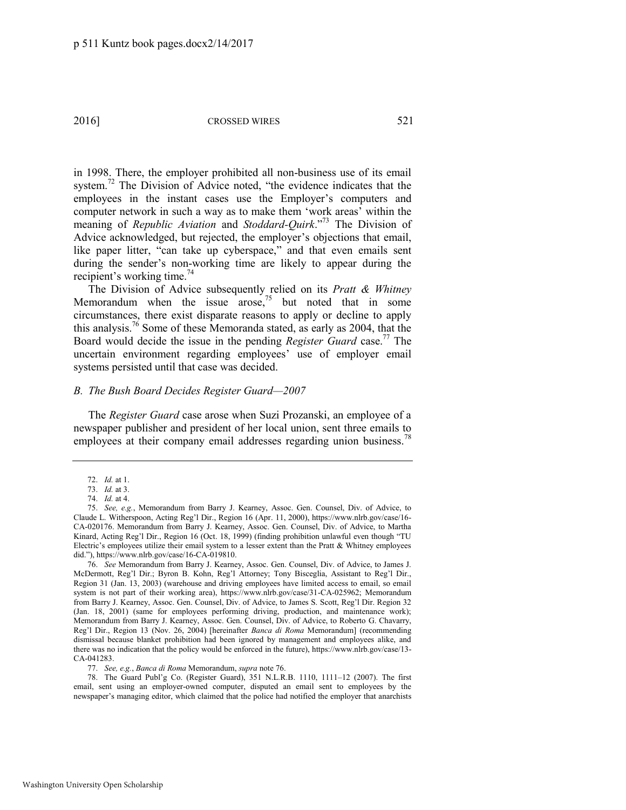in 1998. There, the employer prohibited all non-business use of its email system.<sup>72</sup> The Division of Advice noted, "the evidence indicates that the employees in the instant cases use the Employer's computers and computer network in such a way as to make them 'work areas' within the meaning of *Republic Aviation* and *Stoddard-Quirk*." <sup>73</sup> The Division of Advice acknowledged, but rejected, the employer's objections that email, like paper litter, "can take up cyberspace," and that even emails sent during the sender's non-working time are likely to appear during the recipient's working time. $^{74}$ 

<span id="page-11-0"></span>The Division of Advice subsequently relied on its *Pratt & Whitney* Memorandum when the issue arose, $75$  but noted that in some circumstances, there exist disparate reasons to apply or decline to apply this analysis.<sup>76</sup> Some of these Memoranda stated, as early as 2004, that the Board would decide the issue in the pending *Register Guard* case.<sup>77</sup> The uncertain environment regarding employees' use of employer email systems persisted until that case was decided.

#### *B. The Bush Board Decides Register Guard—2007*

The *Register Guard* case arose when Suzi Prozanski, an employee of a newspaper publisher and president of her local union, sent three emails to employees at their company email addresses regarding union business.<sup>78</sup>

<sup>72.</sup> *Id.* at 1.

<sup>73.</sup> *Id.* at 3.

<sup>74.</sup> *Id.* at 4.

<sup>75.</sup> *See, e.g.*, Memorandum from Barry J. Kearney, Assoc. Gen. Counsel, Div. of Advice, to Claude L. Witherspoon, Acting Reg'l Dir., Region 16 (Apr. 11, 2000), https://www.nlrb.gov/case/16- CA-020176. Memorandum from Barry J. Kearney, Assoc. Gen. Counsel, Div. of Advice, to Martha Kinard, Acting Reg'l Dir., Region 16 (Oct. 18, 1999) (finding prohibition unlawful even though "TU Electric's employees utilize their email system to a lesser extent than the Pratt  $\&$  Whitney employees did."), https://www.nlrb.gov/case/16-CA-019810.

<sup>76.</sup> *See* Memorandum from Barry J. Kearney, Assoc. Gen. Counsel, Div. of Advice, to James J. McDermott, Reg'l Dir.; Byron B. Kohn, Reg'l Attorney; Tony Bisceglia, Assistant to Reg'l Dir., Region 31 (Jan. 13, 2003) (warehouse and driving employees have limited access to email, so email system is not part of their working area), https://www.nlrb.gov/case/31-CA-025962; Memorandum from Barry J. Kearney, Assoc. Gen. Counsel, Div. of Advice, to James S. Scott, Reg'l Dir. Region 32 (Jan. 18, 2001) (same for employees performing driving, production, and maintenance work); Memorandum from Barry J. Kearney, Assoc. Gen. Counsel, Div. of Advice, to Roberto G. Chavarry, Reg'l Dir., Region 13 (Nov. 26, 2004) [hereinafter *Banca di Roma* Memorandum] (recommending dismissal because blanket prohibition had been ignored by management and employees alike, and there was no indication that the policy would be enforced in the future), https://www.nlrb.gov/case/13- CA-041283.

<sup>77.</sup> *See, e.g.*, *Banca di Roma* Memorandum, *supra* not[e 76.](#page-11-0) 

<sup>78.</sup> The Guard Publ'g Co. (Register Guard), 351 N.L.R.B. 1110, 1111–12 (2007). The first email, sent using an employer-owned computer, disputed an email sent to employees by the newspaper's managing editor, which claimed that the police had notified the employer that anarchists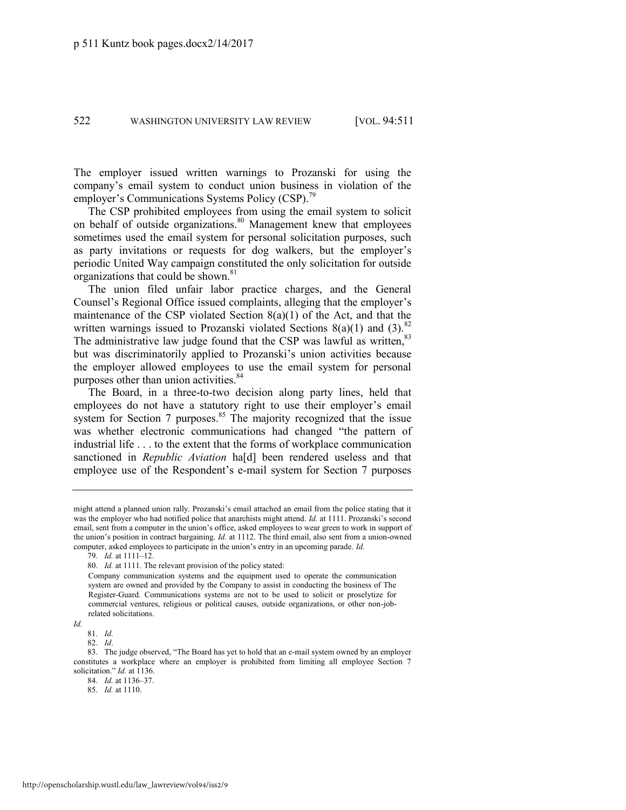The employer issued written warnings to Prozanski for using the company's email system to conduct union business in violation of the employer's Communications Systems Policy (CSP).<sup>79</sup>

The CSP prohibited employees from using the email system to solicit on behalf of outside organizations.<sup>80</sup> Management knew that employees sometimes used the email system for personal solicitation purposes, such as party invitations or requests for dog walkers, but the employer's periodic United Way campaign constituted the only solicitation for outside organizations that could be shown.<sup>81</sup>

The union filed unfair labor practice charges, and the General Counsel's Regional Office issued complaints, alleging that the employer's maintenance of the CSP violated Section  $8(a)(1)$  of the Act, and that the written warnings issued to Prozanski violated Sections  $8(a)(1)$  and  $(3)$ .<sup>82</sup> The administrative law judge found that the CSP was lawful as written, 83 but was discriminatorily applied to Prozanski's union activities because the employer allowed employees to use the email system for personal purposes other than union activities.<sup>84</sup>

The Board, in a three-to-two decision along party lines, held that employees do not have a statutory right to use their employer's email system for Section 7 purposes. $85$  The majority recognized that the issue was whether electronic communications had changed "the pattern of industrial life . . . to the extent that the forms of workplace communication sanctioned in *Republic Aviation* ha[d] been rendered useless and that employee use of the Respondent's e-mail system for Section 7 purposes

might attend a planned union rally. Prozanski's email attached an email from the police stating that it was the employer who had notified police that anarchists might attend. *Id.* at 1111. Prozanski's second email, sent from a computer in the union's office, asked employees to wear green to work in support of the union's position in contract bargaining. *Id.* at 1112. The third email, also sent from a union-owned computer, asked employees to participate in the union's entry in an upcoming parade. *Id.*

<sup>79.</sup> *Id.* at 1111–12.

<sup>80.</sup> *Id.* at 1111. The relevant provision of the policy stated:

Company communication systems and the equipment used to operate the communication system are owned and provided by the Company to assist in conducting the business of The Register-Guard. Communications systems are not to be used to solicit or proselytize for commercial ventures, religious or political causes, outside organizations, or other non-jobrelated solicitations.

*Id.*

<sup>81.</sup> *Id.*

<sup>82.</sup> *Id*.

<sup>83.</sup> The judge observed, "The Board has yet to hold that an e-mail system owned by an employer constitutes a workplace where an employer is prohibited from limiting all employee Section 7 solicitation." *Id.* at 1136.

<sup>84.</sup> *Id.* at 1136–37.

<sup>85.</sup> *Id.* at 1110.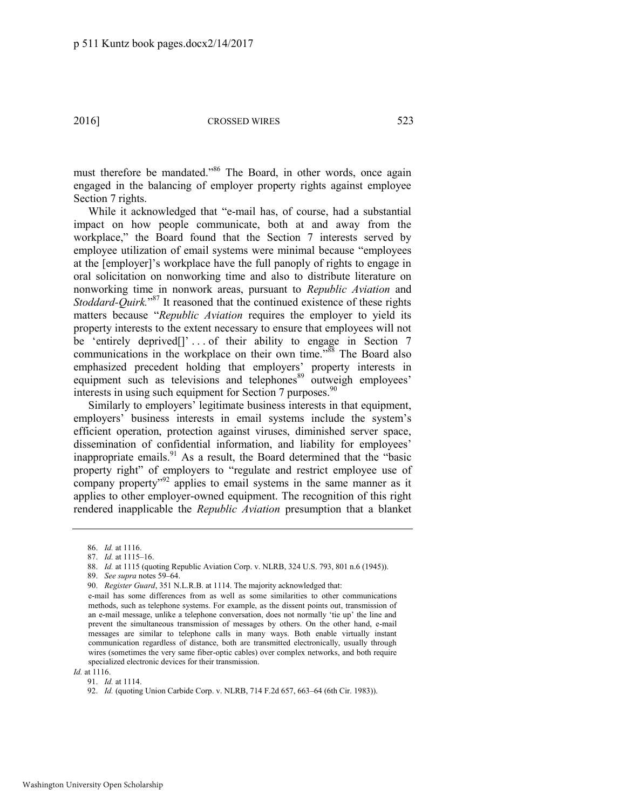must therefore be mandated."<sup>86</sup> The Board, in other words, once again engaged in the balancing of employer property rights against employee Section 7 rights.

While it acknowledged that "e-mail has, of course, had a substantial impact on how people communicate, both at and away from the workplace," the Board found that the Section 7 interests served by employee utilization of email systems were minimal because "employees at the [employer]'s workplace have the full panoply of rights to engage in oral solicitation on nonworking time and also to distribute literature on nonworking time in nonwork areas, pursuant to *Republic Aviation* and *Stoddard-Quirk.*" <sup>87</sup> It reasoned that the continued existence of these rights matters because "*Republic Aviation* requires the employer to yield its property interests to the extent necessary to ensure that employees will not be 'entirely deprived<sup>[]</sup>'... of their ability to engage in Section 7 communications in the workplace on their own time.<sup>388</sup> The Board also emphasized precedent holding that employers' property interests in equipment such as televisions and telephones<sup>89</sup> outweigh employees' interests in using such equipment for Section 7 purposes. $90$ 

Similarly to employers' legitimate business interests in that equipment, employers' business interests in email systems include the system's efficient operation, protection against viruses, diminished server space, dissemination of confidential information, and liability for employees' inappropriate emails.<sup>91</sup> As a result, the Board determined that the "basic property right" of employers to "regulate and restrict employee use of company property"<sup>92</sup> applies to email systems in the same manner as it applies to other employer-owned equipment. The recognition of this right rendered inapplicable the *Republic Aviation* presumption that a blanket

<sup>86.</sup> *Id.* at 1116.

<sup>87.</sup> *Id.* at 1115–16.

<sup>88.</sup> *Id.* at 1115 (quoting Republic Aviation Corp. v. NLRB, 324 U.S. 793, 801 n.6 (1945)).

<sup>89.</sup> *See supra* note[s 59](#page-9-0)–[64.](#page-9-1) 

<sup>90.</sup> *Register Guard*, 351 N.L.R.B. at 1114. The majority acknowledged that:

e-mail has some differences from as well as some similarities to other communications methods, such as telephone systems. For example, as the dissent points out, transmission of an e-mail message, unlike a telephone conversation, does not normally 'tie up' the line and prevent the simultaneous transmission of messages by others. On the other hand, e-mail messages are similar to telephone calls in many ways. Both enable virtually instant communication regardless of distance, both are transmitted electronically, usually through wires (sometimes the very same fiber-optic cables) over complex networks, and both require specialized electronic devices for their transmission.

*Id.* at 1116.

<sup>91.</sup> *Id.* at 1114.

<sup>92.</sup> *Id.* (quoting Union Carbide Corp. v. NLRB, 714 F.2d 657, 663–64 (6th Cir. 1983)).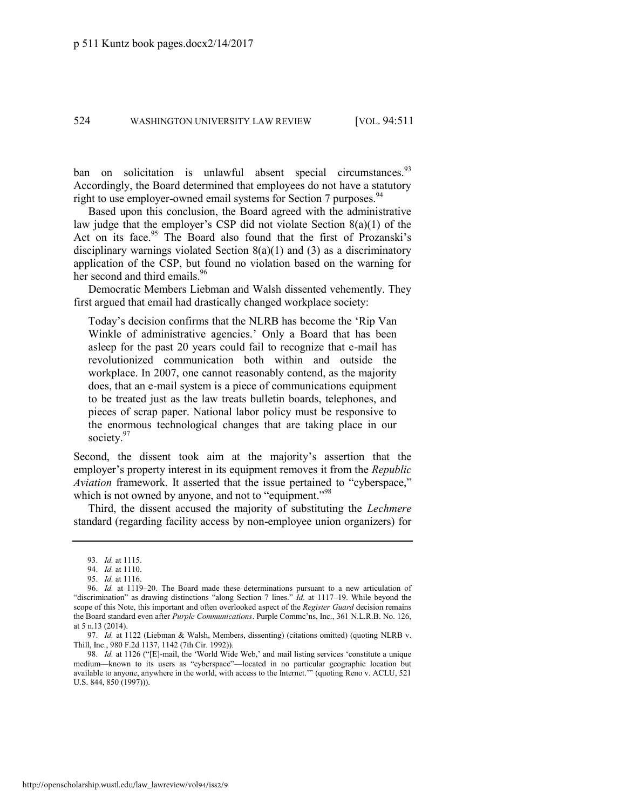ban on solicitation is unlawful absent special circumstances.<sup>93</sup> Accordingly, the Board determined that employees do not have a statutory right to use employer-owned email systems for Section 7 purposes.<sup>94</sup>

Based upon this conclusion, the Board agreed with the administrative law judge that the employer's CSP did not violate Section 8(a)(1) of the Act on its face.<sup>95</sup> The Board also found that the first of Prozanski's disciplinary warnings violated Section  $8(a)(1)$  and  $(3)$  as a discriminatory application of the CSP, but found no violation based on the warning for her second and third emails.<sup>96</sup>

Democratic Members Liebman and Walsh dissented vehemently. They first argued that email had drastically changed workplace society:

Today's decision confirms that the NLRB has become the 'Rip Van Winkle of administrative agencies.' Only a Board that has been asleep for the past 20 years could fail to recognize that e-mail has revolutionized communication both within and outside the workplace. In 2007, one cannot reasonably contend, as the majority does, that an e-mail system is a piece of communications equipment to be treated just as the law treats bulletin boards, telephones, and pieces of scrap paper. National labor policy must be responsive to the enormous technological changes that are taking place in our society.<sup>97</sup>

<span id="page-14-0"></span>Second, the dissent took aim at the majority's assertion that the employer's property interest in its equipment removes it from the *Republic Aviation* framework. It asserted that the issue pertained to "cyberspace," which is not owned by anyone, and not to "equipment."<sup>98</sup>

Third, the dissent accused the majority of substituting the *Lechmere*  standard (regarding facility access by non-employee union organizers) for

98. *Id.* at 1126 ("[E]-mail, the 'World Wide Web,' and mail listing services 'constitute a unique medium—known to its users as "cyberspace"—located in no particular geographic location but available to anyone, anywhere in the world, with access to the Internet.'" (quoting Reno v. ACLU, 521 U.S. 844, 850 (1997))).

<sup>93.</sup> *Id.* at 1115.

<sup>94.</sup> *Id.* at 1110.

<sup>95.</sup> *Id.* at 1116.

<sup>96.</sup> *Id.* at 1119–20. The Board made these determinations pursuant to a new articulation of "discrimination" as drawing distinctions "along Section 7 lines." *Id.* at 1117-19. While beyond the scope of this Note, this important and often overlooked aspect of the *Register Guard* decision remains the Board standard even after *Purple Communications*. Purple Commc'ns, Inc., 361 N.L.R.B. No. 126, at 5 n.13 (2014).

<sup>97.</sup> *Id.* at 1122 (Liebman & Walsh, Members, dissenting) (citations omitted) (quoting NLRB v. Thill, Inc., 980 F.2d 1137, 1142 (7th Cir. 1992)).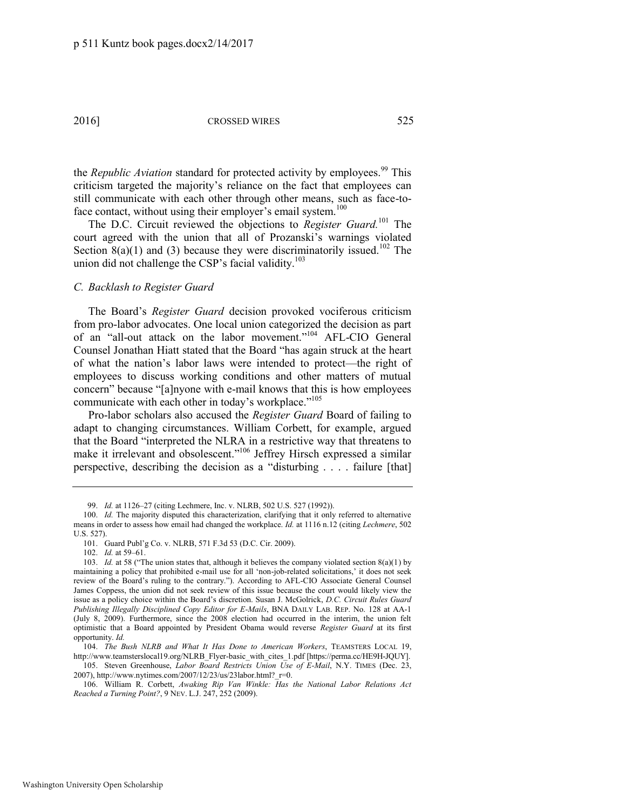the *Republic Aviation* standard for protected activity by employees.<sup>99</sup> This criticism targeted the majority's reliance on the fact that employees can still communicate with each other through other means, such as face-toface contact, without using their employer's email system.<sup>100</sup>

The D.C. Circuit reviewed the objections to *Register Guard*.<sup>101</sup> The court agreed with the union that all of Prozanski's warnings violated Section 8(a)(1) and (3) because they were discriminatorily issued.<sup>102</sup> The union did not challenge the CSP's facial validity. $103$ 

#### *C. Backlash to Register Guard*

<span id="page-15-0"></span>The Board's *Register Guard* decision provoked vociferous criticism from pro-labor advocates. One local union categorized the decision as part of an "all-out attack on the labor movement." <sup>104</sup> AFL-CIO General Counsel Jonathan Hiatt stated that the Board "has again struck at the heart of what the nation's labor laws were intended to protect—the right of employees to discuss working conditions and other matters of mutual concern" because "[a]nyone with e-mail knows that this is how employees communicate with each other in today's workplace."<sup>105</sup>

Pro-labor scholars also accused the *Register Guard* Board of failing to adapt to changing circumstances. William Corbett, for example, argued that the Board "interpreted the NLRA in a restrictive way that threatens to make it irrelevant and obsolescent."<sup>106</sup> Jeffrey Hirsch expressed a similar perspective, describing the decision as a "disturbing . . . . failure [that]

<span id="page-15-1"></span><sup>99.</sup> *Id.* at 1126–27 (citing Lechmere, Inc. v. NLRB, 502 U.S. 527 (1992)).

<sup>100.</sup> *Id.* The majority disputed this characterization, clarifying that it only referred to alternative means in order to assess how email had changed the workplace. *Id.* at 1116 n.12 (citing *Lechmere*, 502 U.S. 527).

<sup>101.</sup> Guard Publ'g Co. v. NLRB, 571 F.3d 53 (D.C. Cir. 2009).

<sup>102.</sup> *Id.* at 59–61.

<sup>103.</sup> *Id.* at 58 ("The union states that, although it believes the company violated section 8(a)(1) by maintaining a policy that prohibited e-mail use for all 'non-job-related solicitations,' it does not seek review of the Board's ruling to the contrary."). According to AFL-CIO Associate General Counsel James Coppess, the union did not seek review of this issue because the court would likely view the issue as a policy choice within the Board's discretion. Susan J. McGolrick, *D.C. Circuit Rules Guard Publishing Illegally Disciplined Copy Editor for E-Mails*, BNA DAILY LAB. REP. No. 128 at AA-1 (July 8, 2009). Furthermore, since the 2008 election had occurred in the interim, the union felt optimistic that a Board appointed by President Obama would reverse *Register Guard* at its first opportunity. *Id.*

<sup>104.</sup> *The Bush NLRB and What It Has Done to American Workers*, TEAMSTERS LOCAL 19, [http://www.teamsterslocal19.org/NLRB\\_Flyer-basic\\_with\\_cites\\_1.pdf](http://www.teamsterslocal19.org/NLRB_Flyer-basic_with_cites_1.pdf) [https://perma.cc/HE9H-JQUY].

<sup>105.</sup> Steven Greenhouse, *Labor Board Restricts Union Use of E-Mail*, N.Y. TIMES (Dec. 23, 2007), http://www.nytimes.com/2007/12/23/us/23labor.html?\_r=0.

<sup>106.</sup> William R. Corbett, *Awaking Rip Van Winkle: Has the National Labor Relations Act Reached a Turning Point?*, 9 NEV. L.J. 247, 252 (2009).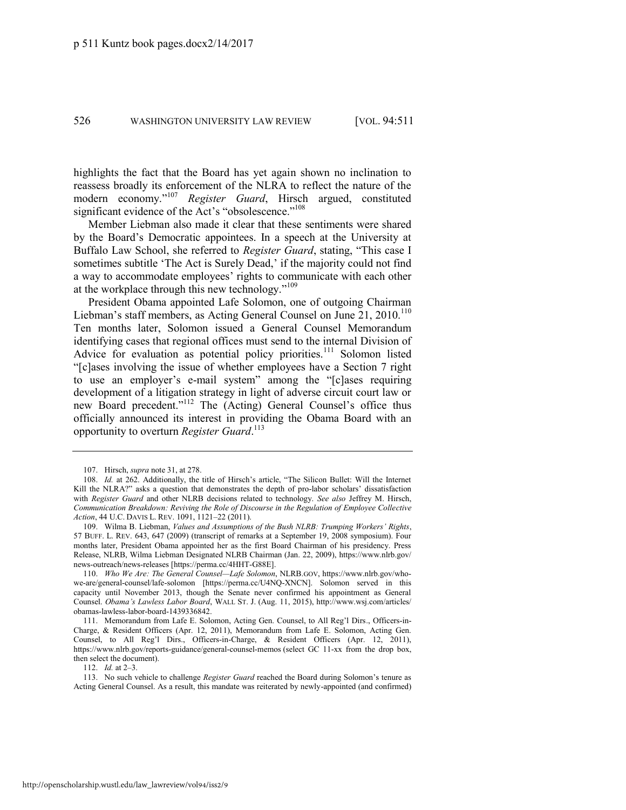highlights the fact that the Board has yet again shown no inclination to reassess broadly its enforcement of the NLRA to reflect the nature of the modern economy." <sup>107</sup> *Register Guard*, Hirsch argued, constituted significant evidence of the Act's "obsolescence."<sup>108</sup>

Member Liebman also made it clear that these sentiments were shared by the Board's Democratic appointees. In a speech at the University at Buffalo Law School, she referred to *Register Guard*, stating, "This case I sometimes subtitle 'The Act is Surely Dead,' if the majority could not find a way to accommodate employees' rights to communicate with each other at the workplace through this new technology."<sup>109</sup>

President Obama appointed Lafe Solomon, one of outgoing Chairman Liebman's staff members, as Acting General Counsel on June 21, 2010.<sup>110</sup> Ten months later, Solomon issued a General Counsel Memorandum identifying cases that regional offices must send to the internal Division of Advice for evaluation as potential policy priorities.<sup>111</sup> Solomon listed "[c]ases involving the issue of whether employees have a Section 7 right to use an employer's e-mail system" among the "[c]ases requiring development of a litigation strategy in light of adverse circuit court law or new Board precedent."<sup>112</sup> The (Acting) General Counsel's office thus officially announced its interest in providing the Obama Board with an opportunity to overturn *Register Guard*. 113

112. *Id.* at 2–3.

113. No such vehicle to challenge *Register Guard* reached the Board during Solomon's tenure as Acting General Counsel. As a result, this mandate was reiterated by newly-appointed (and confirmed)

<sup>107.</sup> Hirsch, *supra* not[e 31,](#page-5-0) at 278.

<sup>108.</sup> *Id.* at 262. Additionally, the title of Hirsch's article, "The Silicon Bullet: Will the Internet Kill the NLRA?" asks a question that demonstrates the depth of pro-labor scholars' dissatisfaction with *Register Guard* and other NLRB decisions related to technology. *See also* Jeffrey M. Hirsch, *Communication Breakdown: Reviving the Role of Discourse in the Regulation of Employee Collective Action*, 44 U.C. DAVIS L. REV. 1091, 1121–22 (2011).

<sup>109.</sup> Wilma B. Liebman, *Values and Assumptions of the Bush NLRB: Trumping Workers' Rights*, 57 BUFF. L. REV. 643, 647 (2009) (transcript of remarks at a September 19, 2008 symposium). Four months later, President Obama appointed her as the first Board Chairman of his presidency. Press Release, NLRB, Wilma Liebman Designated NLRB Chairman (Jan. 22, 2009), https://www.nlrb.gov/ news-outreach/news-releases [https://perma.cc/4HHT-G88E].

<sup>110.</sup> *Who We Are: The General Counsel—Lafe Solomon*, NLRB.GOV, https://www.nlrb.gov/whowe-are/general-counsel/lafe-solomon [https://perma.cc/U4NQ-XNCN]. Solomon served in this capacity until November 2013, though the Senate never confirmed his appointment as General Counsel. *Obama's Lawless Labor Board*, WALL ST. J. (Aug. 11, 2015), http://www.wsj.com/articles/ obamas-lawless-labor-board-1439336842.

<sup>111.</sup> Memorandum from Lafe E. Solomon, Acting Gen. Counsel, to All Reg'l Dirs., Officers-in-Charge, & Resident Officers (Apr. 12, 2011), Memorandum from Lafe E. Solomon, Acting Gen. Counsel, to All Reg'l Dirs., Officers-in-Charge, & Resident Officers (Apr. 12, 2011), <https://www.nlrb.gov/reports-guidance/general-counsel-memos>(select GC 11-xx from the drop box, then select the document).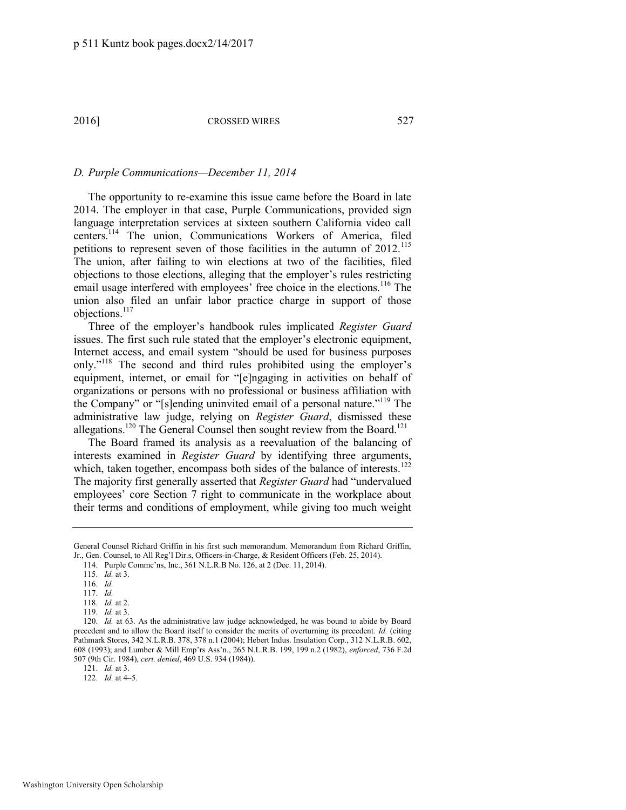### *D. Purple Communications—December 11, 2014*

The opportunity to re-examine this issue came before the Board in late 2014. The employer in that case, Purple Communications, provided sign language interpretation services at sixteen southern California video call centers.<sup>114</sup> The union, Communications Workers of America, filed petitions to represent seven of those facilities in the autumn of 2012.<sup>115</sup> The union, after failing to win elections at two of the facilities, filed objections to those elections, alleging that the employer's rules restricting email usage interfered with employees' free choice in the elections.<sup>116</sup> The union also filed an unfair labor practice charge in support of those objections.<sup>117</sup>

Three of the employer's handbook rules implicated *Register Guard*  issues. The first such rule stated that the employer's electronic equipment, Internet access, and email system "should be used for business purposes only."<sup>118</sup> The second and third rules prohibited using the employer's equipment, internet, or email for "[e]ngaging in activities on behalf of organizations or persons with no professional or business affiliation with the Company" or "[s]ending uninvited email of a personal nature."<sup>119</sup> The administrative law judge, relying on *Register Guard*, dismissed these allegations.<sup>120</sup> The General Counsel then sought review from the Board.<sup>121</sup>

The Board framed its analysis as a reevaluation of the balancing of interests examined in *Register Guard* by identifying three arguments, which, taken together, encompass both sides of the balance of interests.<sup>122</sup> The majority first generally asserted that *Register Guard* had "undervalued employees' core Section 7 right to communicate in the workplace about their terms and conditions of employment, while giving too much weight

General Counsel Richard Griffin in his first such memorandum. Memorandum from Richard Griffin, Jr., Gen. Counsel, to All Reg'l Dir.s, Officers-in-Charge, & Resident Officers (Feb. 25, 2014).

<sup>114.</sup> Purple Commc'ns, Inc., 361 N.L.R.B No. 126, at 2 (Dec. 11, 2014).

<sup>115.</sup> *Id.* at 3.

<sup>116.</sup> *Id.*

<sup>117.</sup> *Id.*

<sup>118.</sup> *Id.* at 2.

<sup>119.</sup> *Id.* at 3.

<sup>120.</sup> *Id.* at 63. As the administrative law judge acknowledged, he was bound to abide by Board precedent and to allow the Board itself to consider the merits of overturning its precedent. *Id.* (citing Pathmark Stores, 342 N.L.R.B. 378, 378 n.1 (2004); Hebert Indus. Insulation Corp., 312 N.L.R.B. 602, 608 (1993); and Lumber & Mill Emp'rs Ass'n., 265 N.L.R.B. 199, 199 n.2 (1982), *enforced*, 736 F.2d 507 (9th Cir. 1984), *cert. denied*, 469 U.S. 934 (1984)).

<sup>121.</sup> *Id.* at 3.

<sup>122.</sup> *Id.* at 4–5.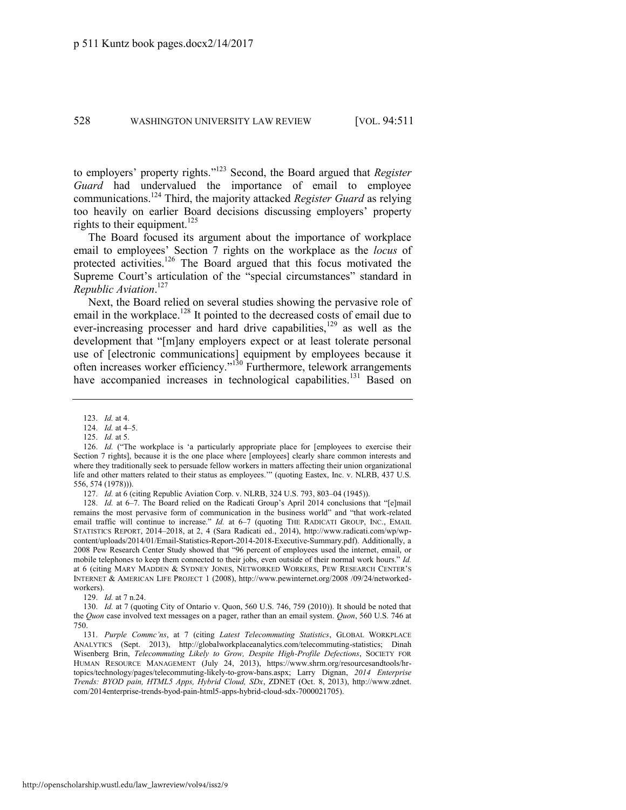to employers' property rights." <sup>123</sup> Second, the Board argued that *Register Guard* had undervalued the importance of email to employee communications.<sup>124</sup> Third, the majority attacked *Register Guard* as relying too heavily on earlier Board decisions discussing employers' property rights to their equipment.<sup>125</sup>

The Board focused its argument about the importance of workplace email to employees' Section 7 rights on the workplace as the *locus* of protected activities.<sup>126</sup> The Board argued that this focus motivated the Supreme Court's articulation of the "special circumstances" standard in *Republic Aviation*. 127

<span id="page-18-0"></span>Next, the Board relied on several studies showing the pervasive role of email in the workplace.<sup>128</sup> It pointed to the decreased costs of email due to ever-increasing processer and hard drive capabilities, $129$  as well as the development that "[m]any employers expect or at least tolerate personal use of [electronic communications] equipment by employees because it often increases worker efficiency."<sup>130</sup> Furthermore, telework arrangements have accompanied increases in technological capabilities.<sup>131</sup> Based on

129. *Id.* at 7 n.24.

<sup>123.</sup> *Id.* at 4.

<sup>124.</sup> *Id.* at 4–5.

<sup>125.</sup> *Id.* at 5.

<sup>126.</sup> *Id.* ("The workplace is 'a particularly appropriate place for [employees to exercise their Section 7 rights], because it is the one place where [employees] clearly share common interests and where they traditionally seek to persuade fellow workers in matters affecting their union organizational life and other matters related to their status as employees.'" (quoting Eastex, Inc. v. NLRB, 437 U.S. 556, 574 (1978))).

<sup>127.</sup> *Id.* at 6 (citing Republic Aviation Corp. v. NLRB, 324 U.S. 793, 803–04 (1945)).

<sup>128.</sup> *Id.* at 6–7. The Board relied on the Radicati Group's April 2014 conclusions that "[e]mail remains the most pervasive form of communication in the business world" and "that work-related email traffic will continue to increase." *Id.* at 6-7 (quoting THE RADICATI GROUP, INC., EMAIL STATISTICS REPORT, 2014–2018, at 2, 4 (Sara Radicati ed., 2014), http://www.radicati.com/wp/wpcontent/uploads/2014/01/Email-Statistics-Report-2014-2018-Executive-Summary.pdf). Additionally, a 2008 Pew Research Center Study showed that "96 percent of employees used the internet, email, or mobile telephones to keep them connected to their jobs, even outside of their normal work hours." *Id.* at 6 (citing MARY MADDEN & SYDNEY JONES, NETWORKED WORKERS, PEW RESEARCH CENTER'S INTERNET & AMERICAN LIFE PROJECT 1 (2008), http://www.pewinternet.org/2008 /09/24/networkedworkers).

<sup>130.</sup> *Id.* at 7 (quoting City of Ontario v. Quon, 560 U.S. 746, 759 (2010)). It should be noted that the *Quon* case involved text messages on a pager, rather than an email system. *Quon*, 560 U.S. 746 at 750.

<sup>131.</sup> *Purple Commc'ns*, at 7 (citing *Latest Telecommuting Statistics*, GLOBAL WORKPLACE ANALYTICS (Sept. 2013), http://globalworkplaceanalytics.com/telecommuting-statistics; Dinah Wisenberg Brin, *Telecommuting Likely to Grow, Despite High-Profile Defections*, SOCIETY FOR HUMAN RESOURCE MANAGEMENT (July 24, 2013), https://www.shrm.org/resourcesandtools/hrtopics/technology/pages/telecommuting-likely-to-grow-bans.aspx; Larry Dignan, *2014 Enterprise Trends: BYOD pain, HTML5 Apps, Hybrid Cloud, SDx*, ZDNET (Oct. 8, 2013), [http://www.zdnet.](http://www.zdnet.com/2014enterprise-trends-byod-pain-html5-apps-hybrid-cloud-sdx-7000021705)  [com/2014enterprise-trends-byod-pain-html5-apps-hybrid-cloud-sdx-7000021705\)](http://www.zdnet.com/2014enterprise-trends-byod-pain-html5-apps-hybrid-cloud-sdx-7000021705).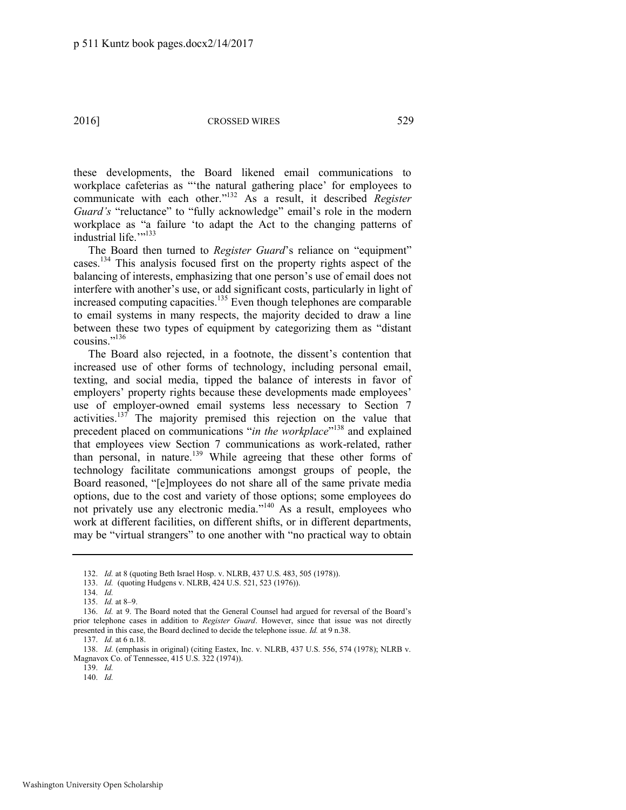these developments, the Board likened email communications to workplace cafeterias as "'the natural gathering place' for employees to communicate with each other." <sup>132</sup> As a result, it described *Register Guard's* "reluctance" to "fully acknowledge" email's role in the modern workplace as "a failure 'to adapt the Act to the changing patterns of industrial life.""<sup>133</sup>

The Board then turned to *Register Guard*'s reliance on "equipment" cases.<sup>134</sup> This analysis focused first on the property rights aspect of the balancing of interests, emphasizing that one person's use of email does not interfere with another's use, or add significant costs, particularly in light of increased computing capacities.<sup>135</sup> Even though telephones are comparable to email systems in many respects, the majority decided to draw a line between these two types of equipment by categorizing them as "distant cousins." 136

<span id="page-19-1"></span><span id="page-19-0"></span>The Board also rejected, in a footnote, the dissent's contention that increased use of other forms of technology, including personal email, texting, and social media, tipped the balance of interests in favor of employers' property rights because these developments made employees' use of employer-owned email systems less necessary to Section 7 activities.<sup>137</sup> The majority premised this rejection on the value that precedent placed on communications "*in the workplace*" <sup>138</sup> and explained that employees view Section 7 communications as work-related, rather than personal, in nature.<sup>139</sup> While agreeing that these other forms of technology facilitate communications amongst groups of people, the Board reasoned, "[e]mployees do not share all of the same private media options, due to the cost and variety of those options; some employees do not privately use any electronic media." <sup>140</sup> As a result, employees who work at different facilities, on different shifts, or in different departments, may be "virtual strangers" to one another with "no practical way to obtain

137. *Id.* at 6 n.18.

140. *Id.*

<sup>132.</sup> *Id.* at 8 (quoting Beth Israel Hosp. v. NLRB, 437 U.S. 483, 505 (1978)).

<sup>133.</sup> *Id.* (quoting Hudgens v. NLRB, 424 U.S. 521, 523 (1976)).

<sup>134.</sup> *Id.*

<sup>135.</sup> *Id.* at 8–9.

<sup>136.</sup> *Id.* at 9. The Board noted that the General Counsel had argued for reversal of the Board's prior telephone cases in addition to *Register Guard*. However, since that issue was not directly presented in this case, the Board declined to decide the telephone issue. *Id.* at 9 n.38.

<sup>138.</sup> *Id.* (emphasis in original) (citing Eastex, Inc. v. NLRB, 437 U.S. 556, 574 (1978); NLRB v. Magnavox Co. of Tennessee, 415 U.S. 322 (1974)).

<sup>139.</sup> *Id.*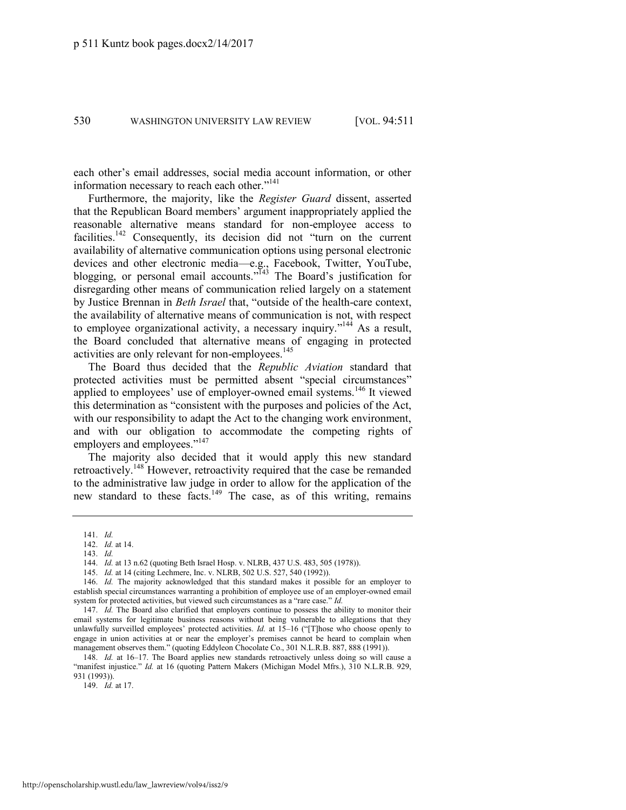each other's email addresses, social media account information, or other information necessary to reach each other."<sup>141</sup>

<span id="page-20-0"></span>Furthermore, the majority, like the *Register Guard* dissent, asserted that the Republican Board members' argument inappropriately applied the reasonable alternative means standard for non-employee access to facilities.<sup>142</sup> Consequently, its decision did not "turn on the current availability of alternative communication options using personal electronic devices and other electronic media—e.g., Facebook, Twitter, YouTube, blogging, or personal email accounts."<sup>143</sup> The Board's justification for disregarding other means of communication relied largely on a statement by Justice Brennan in *Beth Israel* that, "outside of the health-care context, the availability of alternative means of communication is not, with respect to employee organizational activity, a necessary inquiry."<sup>144</sup> As a result, the Board concluded that alternative means of engaging in protected activities are only relevant for non-employees.<sup>145</sup>

<span id="page-20-1"></span>The Board thus decided that the *Republic Aviation* standard that protected activities must be permitted absent "special circumstances" applied to employees' use of employer-owned email systems.<sup>146</sup> It viewed this determination as "consistent with the purposes and policies of the Act, with our responsibility to adapt the Act to the changing work environment, and with our obligation to accommodate the competing rights of employers and employees."<sup>147</sup>

The majority also decided that it would apply this new standard retroactively.<sup>148</sup> However, retroactivity required that the case be remanded to the administrative law judge in order to allow for the application of the new standard to these facts.<sup>149</sup> The case, as of this writing, remains

149. *Id.* at 17.

<sup>141.</sup> *Id.*

<sup>142.</sup> *Id.* at 14. 143. *Id.*

<sup>144.</sup> *Id.* at 13 n.62 (quoting Beth Israel Hosp. v. NLRB, 437 U.S. 483, 505 (1978)).

<sup>145.</sup> *Id.* at 14 (citing Lechmere, Inc. v. NLRB, 502 U.S. 527, 540 (1992)).

<sup>146.</sup> *Id.* The majority acknowledged that this standard makes it possible for an employer to establish special circumstances warranting a prohibition of employee use of an employer-owned email system for protected activities, but viewed such circumstances as a "rare case." *Id.*

<sup>147.</sup> *Id.* The Board also clarified that employers continue to possess the ability to monitor their email systems for legitimate business reasons without being vulnerable to allegations that they unlawfully surveilled employees' protected activities. *Id.* at 15–16 ("[T]hose who choose openly to engage in union activities at or near the employer's premises cannot be heard to complain when management observes them." (quoting Eddyleon Chocolate Co., 301 N.L.R.B. 887, 888 (1991)).

<sup>148.</sup> *Id.* at 16–17. The Board applies new standards retroactively unless doing so will cause a "manifest injustice." *Id.* at 16 (quoting Pattern Makers (Michigan Model Mfrs.), 310 N.L.R.B. 929, 931 (1993)).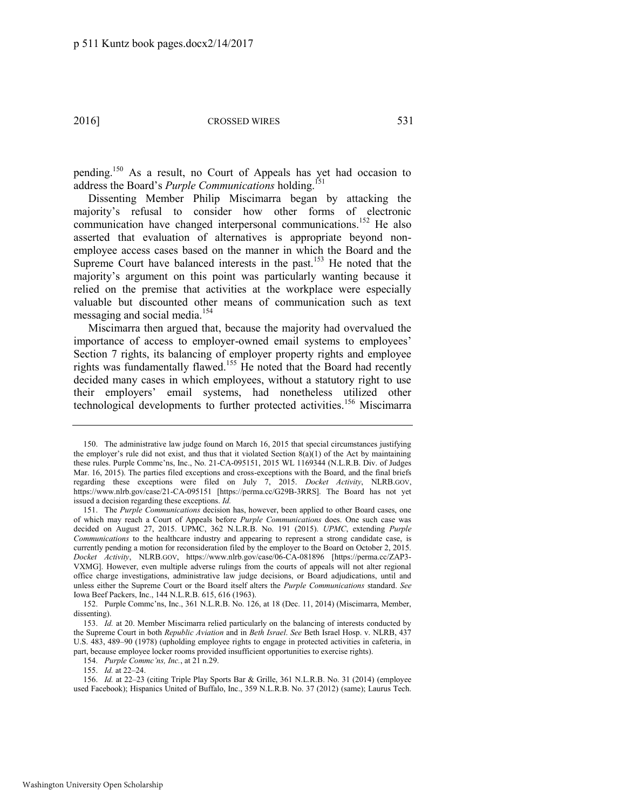pending.<sup>150</sup> As a result, no Court of Appeals has yet had occasion to address the Board's *Purple Communications* holding.<sup>151</sup>

Dissenting Member Philip Miscimarra began by attacking the majority's refusal to consider how other forms of electronic communication have changed interpersonal communications.<sup>152</sup> He also asserted that evaluation of alternatives is appropriate beyond nonemployee access cases based on the manner in which the Board and the Supreme Court have balanced interests in the past.<sup>153</sup> He noted that the majority's argument on this point was particularly wanting because it relied on the premise that activities at the workplace were especially valuable but discounted other means of communication such as text messaging and social media.<sup>154</sup>

Miscimarra then argued that, because the majority had overvalued the importance of access to employer-owned email systems to employees' Section 7 rights, its balancing of employer property rights and employee rights was fundamentally flawed.<sup>155</sup> He noted that the Board had recently decided many cases in which employees, without a statutory right to use their employers' email systems, had nonetheless utilized other technological developments to further protected activities.<sup>156</sup> Miscimarra

<sup>150.</sup> The administrative law judge found on March 16, 2015 that special circumstances justifying the employer's rule did not exist, and thus that it violated Section  $8(a)(1)$  of the Act by maintaining these rules. Purple Commc'ns, Inc., No. 21-CA-095151, 2015 WL 1169344 (N.L.R.B. Div. of Judges Mar. 16, 2015). The parties filed exceptions and cross-exceptions with the Board, and the final briefs regarding these exceptions were filed on July 7, 2015. *Docket Activity*, NLRB.GOV, https://www.nlrb.gov/case/21-CA-095151 [https://perma.cc/G29B-3RRS]. The Board has not yet issued a decision regarding these exceptions. *Id.*

<sup>151.</sup> The *Purple Communications* decision has, however, been applied to other Board cases, one of which may reach a Court of Appeals before *Purple Communications* does. One such case was decided on August 27, 2015. UPMC, 362 N.L.R.B. No. 191 (2015). *UPMC*, extending *Purple Communications* to the healthcare industry and appearing to represent a strong candidate case, is currently pending a motion for reconsideration filed by the employer to the Board on October 2, 2015. *Docket Activity*, NLRB.GOV, https://www.nlrb.gov/case/06-CA-081896 [https://perma.cc/ZAP3- VXMG]. However, even multiple adverse rulings from the courts of appeals will not alter regional office charge investigations, administrative law judge decisions, or Board adjudications, until and unless either the Supreme Court or the Board itself alters the *Purple Communications* standard. *See*  Iowa Beef Packers, Inc., 144 N.L.R.B. 615, 616 (1963).

<sup>152.</sup> Purple Commc'ns, Inc., 361 N.L.R.B. No. 126, at 18 (Dec. 11, 2014) (Miscimarra, Member, dissenting).

<sup>153.</sup> *Id.* at 20. Member Miscimarra relied particularly on the balancing of interests conducted by the Supreme Court in both *Republic Aviation* and in *Beth Israel*. *See* Beth Israel Hosp. v. NLRB, 437 U.S. 483, 489–90 (1978) (upholding employee rights to engage in protected activities in cafeteria, in part, because employee locker rooms provided insufficient opportunities to exercise rights).

<sup>154.</sup> *Purple Commc'ns, Inc.*, at 21 n.29.

<sup>155.</sup> *Id.* at 22–24.

<sup>156.</sup> *Id.* at 22–23 (citing Triple Play Sports Bar & Grille, 361 N.L.R.B. No. 31 (2014) (employee used Facebook); Hispanics United of Buffalo, Inc., 359 N.L.R.B. No. 37 (2012) (same); Laurus Tech.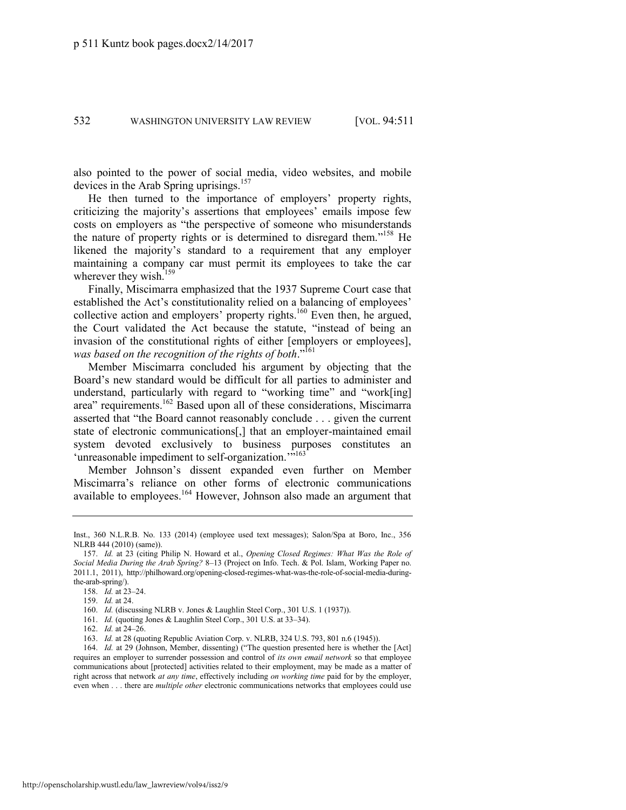also pointed to the power of social media, video websites, and mobile devices in the Arab Spring uprisings.<sup>157</sup>

He then turned to the importance of employers' property rights, criticizing the majority's assertions that employees' emails impose few costs on employers as "the perspective of someone who misunderstands the nature of property rights or is determined to disregard them."<sup>158</sup> He likened the majority's standard to a requirement that any employer maintaining a company car must permit its employees to take the car wherever they wish.<sup>159</sup>

Finally, Miscimarra emphasized that the 1937 Supreme Court case that established the Act's constitutionality relied on a balancing of employees' collective action and employers' property rights.<sup>160</sup> Even then, he argued, the Court validated the Act because the statute, "instead of being an invasion of the constitutional rights of either [employers or employees], *was based on the recognition of the rights of both*." 161

Member Miscimarra concluded his argument by objecting that the Board's new standard would be difficult for all parties to administer and understand, particularly with regard to "working time" and "work[ing] area" requirements.<sup>162</sup> Based upon all of these considerations, Miscimarra asserted that "the Board cannot reasonably conclude . . . given the current state of electronic communications[,] that an employer-maintained email system devoted exclusively to business purposes constitutes an 'unreasonable impediment to self-organization."<sup>5163</sup>

Member Johnson's dissent expanded even further on Member Miscimarra's reliance on other forms of electronic communications available to employees.<sup>164</sup> However, Johnson also made an argument that

- 161. *Id.* (quoting Jones & Laughlin Steel Corp., 301 U.S. at 33–34).
- 162. *Id.* at 24–26.

Inst., 360 N.L.R.B. No. 133 (2014) (employee used text messages); Salon/Spa at Boro, Inc., 356 NLRB 444 (2010) (same)).

<sup>157.</sup> *Id.* at 23 (citing Philip N. Howard et al., *Opening Closed Regimes: What Was the Role of Social Media During the Arab Spring?* 8–13 (Project on Info. Tech. & Pol. Islam, Working Paper no. 2011.1, 2011), http://philhoward.org/opening-closed-regimes-what-was-the-role-of-social-media-duringthe-arab-spring/).

<sup>158.</sup> *Id.* at 23–24.

<sup>159.</sup> *Id.* at 24.

<sup>160.</sup> *Id.* (discussing NLRB v. Jones & Laughlin Steel Corp., 301 U.S. 1 (1937)).

<sup>163.</sup> *Id.* at 28 (quoting Republic Aviation Corp. v. NLRB, 324 U.S. 793, 801 n.6 (1945)).

<sup>164.</sup> *Id.* at 29 (Johnson, Member, dissenting) ("The question presented here is whether the [Act] requires an employer to surrender possession and control of *its own email network* so that employee communications about [protected] activities related to their employment, may be made as a matter of right across that network *at any time*, effectively including *on working time* paid for by the employer, even when . . . there are *multiple other* electronic communications networks that employees could use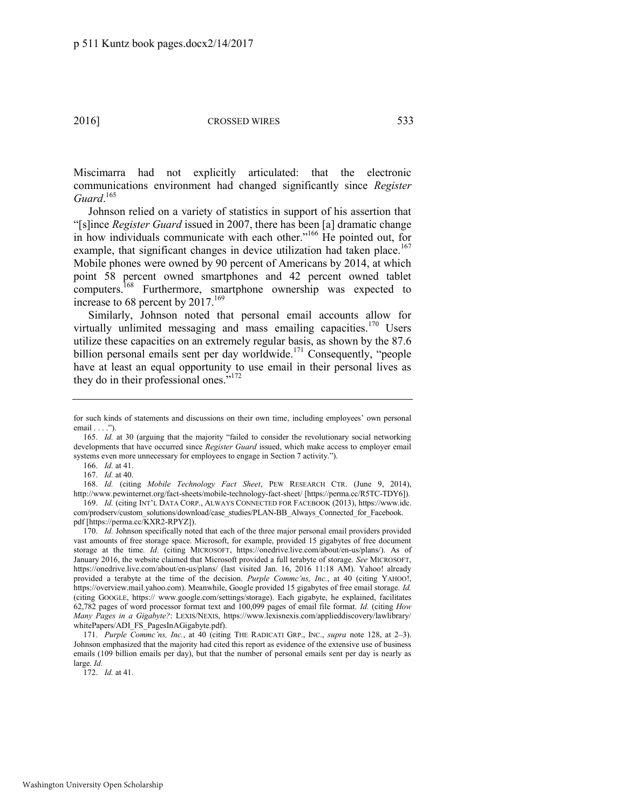Miscimarra had not explicitly articulated: that the electronic communications environment had changed significantly since *Register Guard*. 165

Johnson relied on a variety of statistics in support of his assertion that "[s]ince *Register Guard* issued in 2007, there has been [a] dramatic change in how individuals communicate with each other."<sup>166</sup> He pointed out, for example, that significant changes in device utilization had taken place.<sup>167</sup> Mobile phones were owned by 90 percent of Americans by 2014, at which point 58 percent owned smartphones and 42 percent owned tablet computers.<sup>168</sup> Furthermore, smartphone ownership was expected to increase to 68 percent by  $2017$ .<sup>169</sup>

Similarly, Johnson noted that personal email accounts allow for virtually unlimited messaging and mass emailing capacities.<sup>170</sup> Users utilize these capacities on an extremely regular basis, as shown by the 87.6 billion personal emails sent per day worldwide.<sup>171</sup> Consequently, "people have at least an equal opportunity to use email in their personal lives as they do in their professional ones."<sup>172</sup>

166. *Id.* at 41.

167. *Id.* at 40.

168. *Id.* (citing *Mobile Technology Fact Sheet*, PEW RESEARCH CTR. (June 9, 2014), http://www.pewinternet.org/fact-sheets/mobile-technology-fact-sheet/ [https://perma.cc/R5TC-TDY6]). 169. *Id.* (citing INT'L DATA CORP., ALWAYS CONNECTED FOR FACEBOOK (2013), https://www.idc.

171. *Purple Commc'ns, Inc.*, at 40 (citing THE RADICATI GRP., INC., *supra* note [128,](#page-18-0) at 2–3). Johnson emphasized that the majority had cited this report as evidence of the extensive use of business emails (109 billion emails per day), but that the number of personal emails sent per day is nearly as large. *Id.*

172. *Id.* at 41.

for such kinds of statements and discussions on their own time, including employees' own personal email . . . .").

<sup>165.</sup> *Id.* at 30 (arguing that the majority "failed to consider the revolutionary social networking developments that have occurred since *Register Guard* issued, which make access to employer email systems even more unnecessary for employees to engage in Section 7 activity.").

com/prodserv/custom\_solutions/download/case\_studies/PLAN-BB\_Always\_Connected\_for\_Facebook. pdf [https://perma.cc/KXR2-RPYZ]).

<sup>170.</sup> *Id.* Johnson specifically noted that each of the three major personal email providers provided vast amounts of free storage space. Microsoft, for example, provided 15 gigabytes of free document storage at the time. *Id.* (citing MICROSOFT, https://onedrive.live.com/about/en-us/plans/). As of January 2016, the website claimed that Microsoft provided a full terabyte of storage. *See* MICROSOFT, https://onedrive.live.com/about/en-us/plans/ (last visited Jan. 16, 2016 11:18 AM). Yahoo! already provided a terabyte at the time of the decision. *Purple Commc'ns, Inc.*, at 40 (citing YAHOO!, https://overview.mail.yahoo.com). Meanwhile, Google provided 15 gigabytes of free email storage. *Id.* (citing GOOGLE, https:// www.google.com/settings/storage). Each gigabyte, he explained, facilitates 62,782 pages of word processor format text and 100,099 pages of email file format. *Id.* (citing *How Many Pages in a Gigabyte?*: LEXIS/NEXIS, https://www.lexisnexis.com/applieddiscovery/lawlibrary/ whitePapers/ADI\_FS\_PagesInAGigabyte.pdf).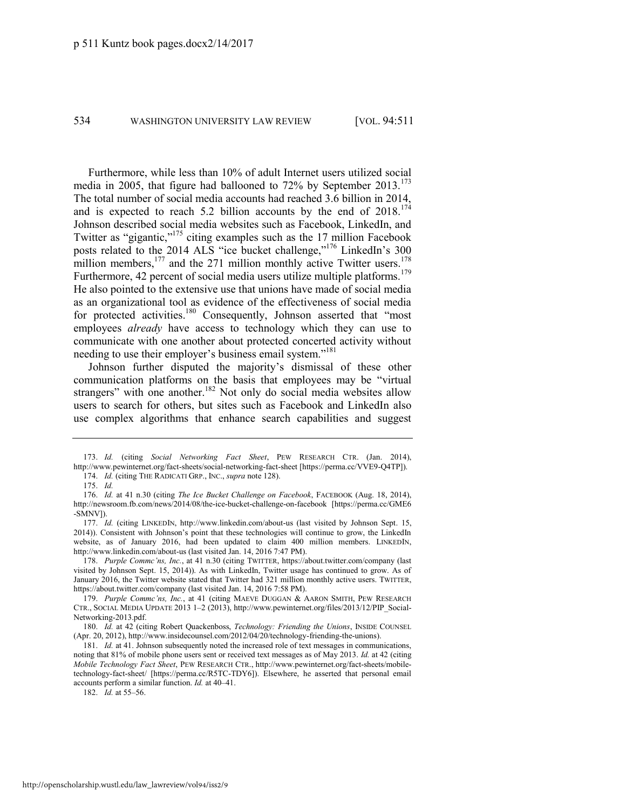<span id="page-24-0"></span>

Furthermore, while less than 10% of adult Internet users utilized social media in 2005, that figure had ballooned to  $72\%$  by September 2013.<sup>173</sup> The total number of social media accounts had reached 3.6 billion in 2014, and is expected to reach 5.2 billion accounts by the end of  $2018$ .<sup>174</sup> Johnson described social media websites such as Facebook, LinkedIn, and Twitter as "gigantic,"<sup>175</sup> citing examples such as the 17 million Facebook posts related to the 2014 ALS "ice bucket challenge,"<sup>176</sup> LinkedIn's 300 million members, $177$  and the 271 million monthly active Twitter users.<sup>178</sup> Furthermore, 42 percent of social media users utilize multiple platforms.<sup>179</sup> He also pointed to the extensive use that unions have made of social media as an organizational tool as evidence of the effectiveness of social media for protected activities.<sup>180</sup> Consequently, Johnson asserted that "most employees *already* have access to technology which they can use to communicate with one another about protected concerted activity without needing to use their employer's business email system."<sup>181</sup>

<span id="page-24-1"></span>Johnson further disputed the majority's dismissal of these other communication platforms on the basis that employees may be "virtual strangers" with one another.<sup>182</sup> Not only do social media websites allow users to search for others, but sites such as Facebook and LinkedIn also use complex algorithms that enhance search capabilities and suggest

182. *Id.* at 55–56.

<sup>173.</sup> *Id.* (citing *Social Networking Fact Sheet*, PEW RESEARCH CTR. (Jan. 2014), http://www.pewinternet.org/fact-sheets/social-networking-fact-sheet [https://perma.cc/VVE9-Q4TP]). 174. *Id.* (citing THE RADICATI GRP., INC., *supra* not[e 128\)](#page-18-0).

<sup>175.</sup> *Id.*

<sup>176.</sup> *Id.* at 41 n.30 (citing *The Ice Bucket Challenge on Facebook*, FACEBOOK (Aug. 18, 2014), http://newsroom.fb.com/news/2014/08/the-ice-bucket-challenge-on-facebook [https://perma.cc/GME6 -SMNV]).

<sup>177.</sup> *Id.* (citing LINKEDIN, http://www.linkedin.com/about-us (last visited by Johnson Sept. 15, 2014)). Consistent with Johnson's point that these technologies will continue to grow, the LinkedIn website, as of January 2016, had been updated to claim 400 million members. LINKEDIN, http://www.linkedin.com/about-us (last visited Jan. 14, 2016 7:47 PM).

<sup>178.</sup> *Purple Commc'ns, Inc.*, at 41 n.30 (citing TWITTER, https://about.twitter.com/company (last visited by Johnson Sept. 15, 2014)). As with LinkedIn, Twitter usage has continued to grow. As of January 2016, the Twitter website stated that Twitter had 321 million monthly active users. TWITTER, https://about.twitter.com/company (last visited Jan. 14, 2016 7:58 PM).

<sup>179.</sup> *Purple Commc'ns, Inc.*, at 41 (citing MAEVE DUGGAN & AARON SMITH, PEW RESEARCH CTR., SOCIAL MEDIA UPDATE 2013 1–2 (2013), http://www.pewinternet.org/files/2013/12/PIP\_Social-Networking-2013.pdf.

<sup>180.</sup> *Id.* at 42 (citing Robert Quackenboss, *Technology: Friending the Unions*, INSIDE COUNSEL (Apr. 20, 2012), http://www.insidecounsel.com/2012/04/20/technology-friending-the-unions).

<sup>181.</sup> *Id.* at 41. Johnson subsequently noted the increased role of text messages in communications, noting that 81% of mobile phone users sent or received text messages as of May 2013. *Id.* at 42 (citing *Mobile Technology Fact Sheet*, PEW RESEARCH CTR., http://www.pewinternet.org/fact-sheets/mobiletechnology-fact-sheet/ [https://perma.cc/R5TC-TDY6]). Elsewhere, he asserted that personal email accounts perform a similar function. *Id.* at 40–41.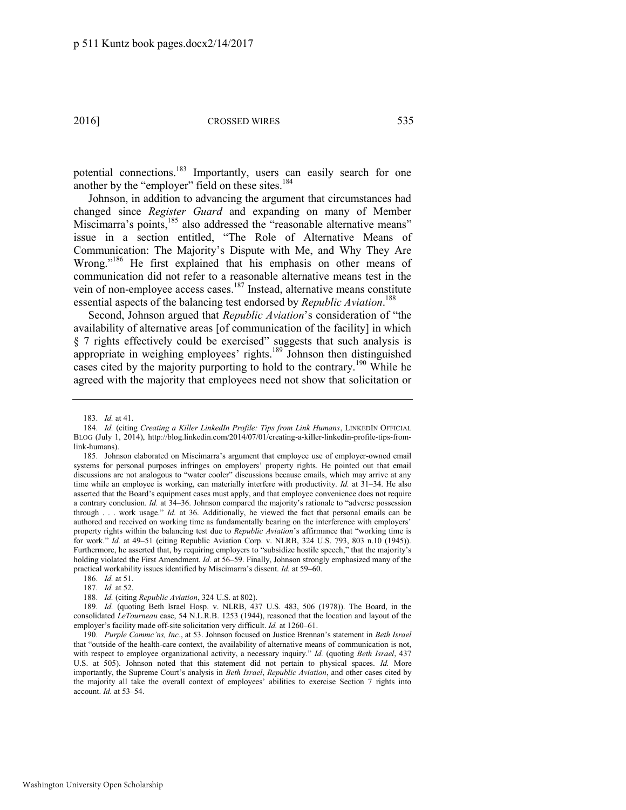potential connections.<sup>183</sup> Importantly, users can easily search for one another by the "employer" field on these sites.<sup>184</sup>

Johnson, in addition to advancing the argument that circumstances had changed since *Register Guard* and expanding on many of Member Miscimarra's points,<sup>185</sup> also addressed the "reasonable alternative means" issue in a section entitled, "The Role of Alternative Means of Communication: The Majority's Dispute with Me, and Why They Are Wrong."<sup>186</sup> He first explained that his emphasis on other means of communication did not refer to a reasonable alternative means test in the vein of non-employee access cases.<sup>187</sup> Instead, alternative means constitute essential aspects of the balancing test endorsed by *Republic Aviation*. 188

<span id="page-25-0"></span>Second, Johnson argued that *Republic Aviation*'s consideration of "the availability of alternative areas [of communication of the facility] in which § 7 rights effectively could be exercised" suggests that such analysis is appropriate in weighing employees' rights.<sup>189</sup> Johnson then distinguished cases cited by the majority purporting to hold to the contrary.<sup>190</sup> While he agreed with the majority that employees need not show that solicitation or

186. *Id.* at 51.

<sup>183.</sup> *Id.* at 41.

<sup>184.</sup> *Id.* (citing *Creating a Killer LinkedIn Profile: Tips from Link Humans*, LINKEDIN OFFICIAL BLOG (July 1, 2014), http://blog.linkedin.com/2014/07/01/creating-a-killer-linkedin-profile-tips-fromlink-humans).

<sup>185.</sup> Johnson elaborated on Miscimarra's argument that employee use of employer-owned email systems for personal purposes infringes on employers' property rights. He pointed out that email discussions are not analogous to "water cooler" discussions because emails, which may arrive at any time while an employee is working, can materially interfere with productivity. *Id.* at 31–34. He also asserted that the Board's equipment cases must apply, and that employee convenience does not require a contrary conclusion. *Id.* at 34–36. Johnson compared the majority's rationale to "adverse possession through . . . work usage." *Id.* at 36. Additionally, he viewed the fact that personal emails can be authored and received on working time as fundamentally bearing on the interference with employers' property rights within the balancing test due to *Republic Aviation*'s affirmance that "working time is for work." *Id.* at 49–51 (citing Republic Aviation Corp. v. NLRB, 324 U.S. 793, 803 n.10 (1945)). Furthermore, he asserted that, by requiring employers to "subsidize hostile speech," that the majority's holding violated the First Amendment. *Id.* at 56–59. Finally, Johnson strongly emphasized many of the practical workability issues identified by Miscimarra's dissent. *Id.* at 59–60.

<sup>187.</sup> *Id.* at 52.

<sup>188.</sup> *Id.* (citing *Republic Aviation*, 324 U.S. at 802).

<sup>189.</sup> *Id.* (quoting Beth Israel Hosp. v. NLRB, 437 U.S. 483, 506 (1978)). The Board, in the consolidated *LeTourneau* case, 54 N.L.R.B. 1253 (1944), reasoned that the location and layout of the employer's facility made off-site solicitation very difficult. *Id.* at 1260–61.

<sup>190.</sup> *Purple Commc'ns, Inc.*, at 53. Johnson focused on Justice Brennan's statement in *Beth Israel*  that "outside of the health-care context, the availability of alternative means of communication is not, with respect to employee organizational activity, a necessary inquiry." *Id.* (quoting *Beth Israel*, 437 U.S. at 505). Johnson noted that this statement did not pertain to physical spaces. *Id.* More importantly, the Supreme Court's analysis in *Beth Israel*, *Republic Aviation*, and other cases cited by the majority all take the overall context of employees' abilities to exercise Section 7 rights into account. *Id.* at 53–54.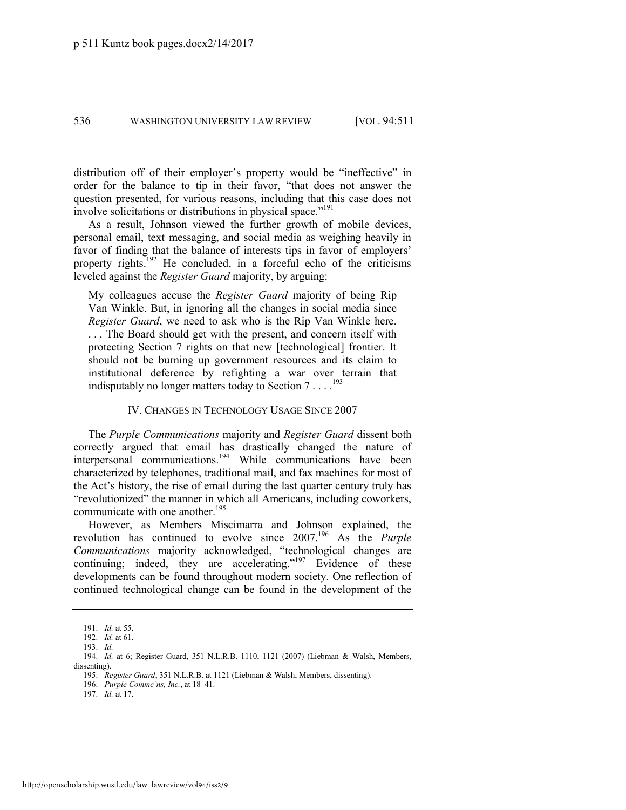distribution off of their employer's property would be "ineffective" in order for the balance to tip in their favor, "that does not answer the question presented, for various reasons, including that this case does not involve solicitations or distributions in physical space."<sup>191</sup>

As a result, Johnson viewed the further growth of mobile devices, personal email, text messaging, and social media as weighing heavily in favor of finding that the balance of interests tips in favor of employers' property rights.<sup>192</sup> He concluded, in a forceful echo of the criticisms leveled against the *Register Guard* majority, by arguing:

My colleagues accuse the *Register Guard* majority of being Rip Van Winkle. But, in ignoring all the changes in social media since *Register Guard*, we need to ask who is the Rip Van Winkle here. . . . The Board should get with the present, and concern itself with protecting Section 7 rights on that new [technological] frontier. It should not be burning up government resources and its claim to institutional deference by refighting a war over terrain that indisputably no longer matters today to Section  $7 \ldots$ .<sup>193</sup>

### IV. CHANGES IN TECHNOLOGY USAGE SINCE 2007

The *Purple Communications* majority and *Register Guard* dissent both correctly argued that email has drastically changed the nature of interpersonal communications.<sup>194</sup> While communications have been characterized by telephones, traditional mail, and fax machines for most of the Act's history, the rise of email during the last quarter century truly has "revolutionized" the manner in which all Americans, including coworkers, communicate with one another.<sup>195</sup>

However, as Members Miscimarra and Johnson explained, the revolution has continued to evolve since 2007.<sup>196</sup> As the *Purple Communications* majority acknowledged, "technological changes are continuing; indeed, they are accelerating."<sup>197</sup> Evidence of these developments can be found throughout modern society. One reflection of continued technological change can be found in the development of the

<sup>191.</sup> *Id.* at 55.

<sup>192.</sup> *Id.* at 61.

<sup>193.</sup> *Id.*

<sup>194.</sup> *Id.* at 6; Register Guard, 351 N.L.R.B. 1110, 1121 (2007) (Liebman & Walsh, Members, dissenting).

<sup>195.</sup> *Register Guard*, 351 N.L.R.B. at 1121 (Liebman & Walsh, Members, dissenting).

<sup>196.</sup> *Purple Commc'ns, Inc.*, at 18–41.

<sup>197.</sup> *Id.* at 17.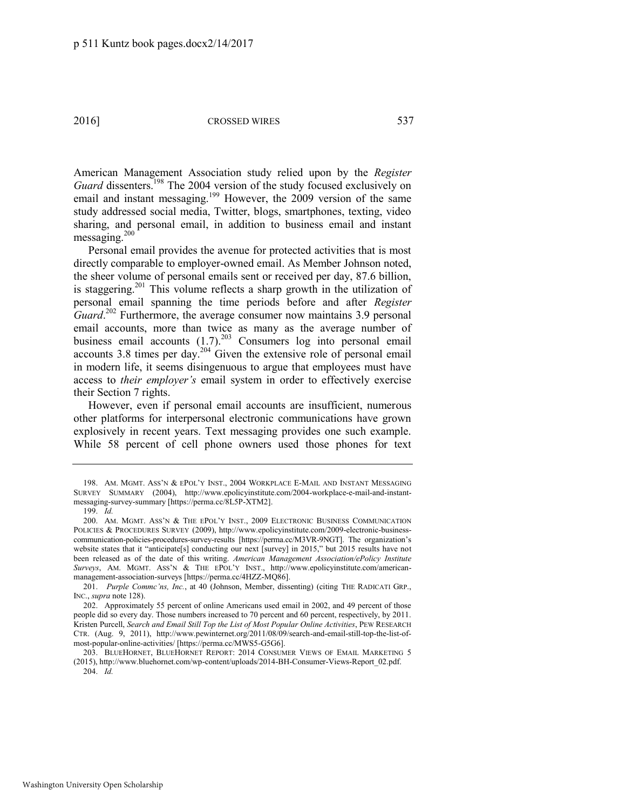American Management Association study relied upon by the *Register*  Guard dissenters.<sup>198</sup> The 2004 version of the study focused exclusively on email and instant messaging.<sup>199</sup> However, the 2009 version of the same study addressed social media, Twitter, blogs, smartphones, texting, video sharing, and personal email, in addition to business email and instant messaging.<sup>200</sup>

Personal email provides the avenue for protected activities that is most directly comparable to employer-owned email. As Member Johnson noted, the sheer volume of personal emails sent or received per day, 87.6 billion, is staggering.<sup>201</sup> This volume reflects a sharp growth in the utilization of personal email spanning the time periods before and after *Register*  Guard.<sup>202</sup> Furthermore, the average consumer now maintains 3.9 personal email accounts, more than twice as many as the average number of business email accounts  $(1.7)$ .<sup>203</sup> Consumers log into personal email accounts 3.8 times per day.<sup>204</sup> Given the extensive role of personal email in modern life, it seems disingenuous to argue that employees must have access to *their employer's* email system in order to effectively exercise their Section 7 rights.

<span id="page-27-0"></span>However, even if personal email accounts are insufficient, numerous other platforms for interpersonal electronic communications have grown explosively in recent years. Text messaging provides one such example. While 58 percent of cell phone owners used those phones for text

<sup>198.</sup> AM. MGMT. ASS'N & EPOL'Y INST., 2004 WORKPLACE E-MAIL AND INSTANT MESSAGING SURVEY SUMMARY (2004), http://www.epolicyinstitute.com/2004-workplace-e-mail-and-instantmessaging-survey-summary [https://perma.cc/8L5P-XTM2].

<sup>199.</sup> *Id.* 

<sup>200.</sup> AM. MGMT. ASS'N & THE EPOL'Y INST., 2009 ELECTRONIC BUSINESS COMMUNICATION POLICIES & PROCEDURES SURVEY (2009), http://www.epolicyinstitute.com/2009-electronic-businesscommunication-policies-procedures-survey-results [https://perma.cc/M3VR-9NGT]. The organization's website states that it "anticipate[s] conducting our next [survey] in 2015," but 2015 results have not been released as of the date of this writing. *American Management Association/ePolicy Institute Surveys*, AM. MGMT. ASS'N & THE EPOL'Y INST., http://www.epolicyinstitute.com/americanmanagement-association-surveys [https://perma.cc/4HZZ-MQ86].

<sup>201.</sup> *Purple Commc'ns, Inc.*, at 40 (Johnson, Member, dissenting) (citing THE RADICATI GRP., INC., *supra* not[e 128\)](#page-18-0).

<sup>202.</sup> Approximately 55 percent of online Americans used email in 2002, and 49 percent of those people did so every day. Those numbers increased to 70 percent and 60 percent, respectively, by 2011. Kristen Purcell, *Search and Email Still Top the List of Most Popular Online Activities*, PEW RESEARCH CTR. (Aug. 9, 2011), http://www.pewinternet.org/2011/08/09/search-and-email-still-top-the-list-ofmost-popular-online-activities/ [https://perma.cc/MWS5-G5G6].

<sup>203.</sup> BLUEHORNET, BLUEHORNET REPORT: 2014 CONSUMER VIEWS OF EMAIL MARKETING 5 (2015), http://www.bluehornet.com/wp-content/uploads/2014-BH-Consumer-Views-Report\_02.pdf. 204. *Id.*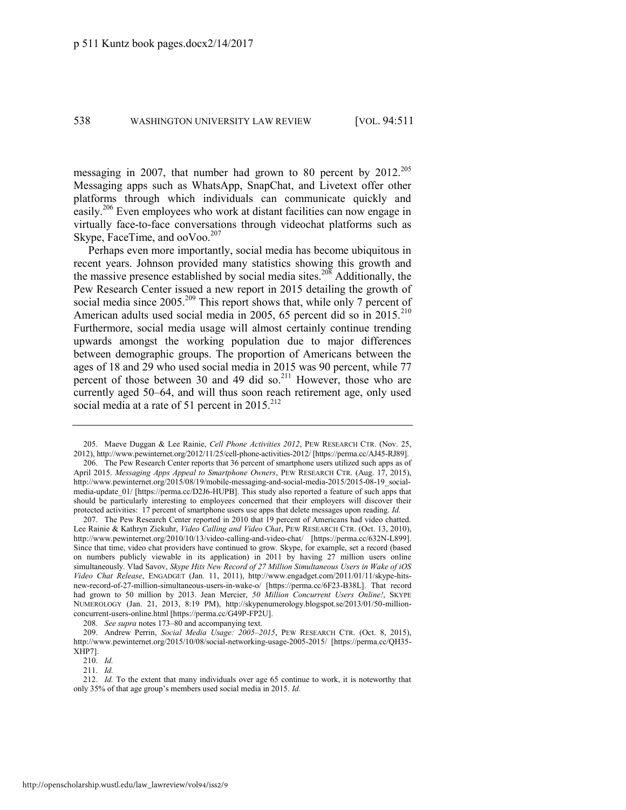messaging in 2007, that number had grown to 80 percent by 2012.<sup>205</sup> Messaging apps such as WhatsApp, SnapChat, and Livetext offer other platforms through which individuals can communicate quickly and easily.<sup>206</sup> Even employees who work at distant facilities can now engage in virtually face-to-face conversations through videochat platforms such as Skype, FaceTime, and ooVoo.<sup>207</sup>

Perhaps even more importantly, social media has become ubiquitous in recent years. Johnson provided many statistics showing this growth and the massive presence established by social media sites.<sup>208</sup> Additionally, the Pew Research Center issued a new report in 2015 detailing the growth of social media since 2005.<sup>209</sup> This report shows that, while only 7 percent of American adults used social media in 2005, 65 percent did so in  $2015$ <sup>210</sup> Furthermore, social media usage will almost certainly continue trending upwards amongst the working population due to major differences between demographic groups. The proportion of Americans between the ages of 18 and 29 who used social media in 2015 was 90 percent, while 77 percent of those between 30 and 49 did so.<sup>211</sup> However, those who are currently aged 50–64, and will thus soon reach retirement age, only used social media at a rate of 51 percent in 2015.<sup>212</sup>

207. The Pew Research Center reported in 2010 that 19 percent of Americans had video chatted. Lee Rainie & Kathryn Zickuhr, *Video Calling and Video Chat*, PEW RESEARCH CTR. (Oct. 13, 2010), http://www.pewinternet.org/2010/10/13/video-calling-and-video-chat/ [https://perma.cc/632N-L899]. Since that time, video chat providers have continued to grow. Skype, for example, set a record (based on numbers publicly viewable in its application) in 2011 by having 27 million users online simultaneously. Vlad Savov, *Skype Hits New Record of 27 Million Simultaneous Users in Wake of iOS Video Chat Release*, ENGADGET (Jan. 11, 2011), http://www.engadget.com/2011/01/11/skype-hitsnew-record-of-27-million-simultaneous-users-in-wake-o/ [https://perma.cc/6F23-B38L]. That record had grown to 50 million by 2013. Jean Mercier, *50 Million Concurrent Users Online!*, SKYPE NUMEROLOGY (Jan. 21, 2013, 8:19 PM), http://skypenumerology.blogspot.se/2013/01/50-millionconcurrent-users-online.html [https://perma.cc/G49P-FP2U].

208. *See supra* note[s 173](#page-24-0)–80 and accompanying text.

209. Andrew Perrin, *Social Media Usage: 2005–2015*, PEW RESEARCH CTR. (Oct. 8, 2015), http://www.pewinternet.org/2015/10/08/social-networking-usage-2005-2015/ [https://perma.cc/QH35- XHP7].

212. *Id.* To the extent that many individuals over age 65 continue to work, it is noteworthy that only 35% of that age group's members used social media in 2015. *Id.*

<sup>205.</sup> Maeve Duggan & Lee Rainie, *Cell Phone Activities 2012*, PEW RESEARCH CTR. (Nov. 25, 2012), http://www.pewinternet.org/2012/11/25/cell-phone-activities-2012/ [https://perma.cc/AJ45-RJ89].

<sup>206.</sup> The Pew Research Center reports that 36 percent of smartphone users utilized such apps as of April 2015. *Messaging Apps Appeal to Smartphone Owners*, PEW RESEARCH CTR. (Aug. 17, 2015), http://www.pewinternet.org/2015/08/19/mobile-messaging-and-social-media-2015/2015-08-19\_socialmedia-update  $01/$  [https://perma.cc/D2J6-HUPB]. This study also reported a feature of such apps that should be particularly interesting to employees concerned that their employers will discover their protected activities: 17 percent of smartphone users use apps that delete messages upon reading. *Id.*

<sup>210.</sup> *Id.*

<sup>211.</sup> *Id.*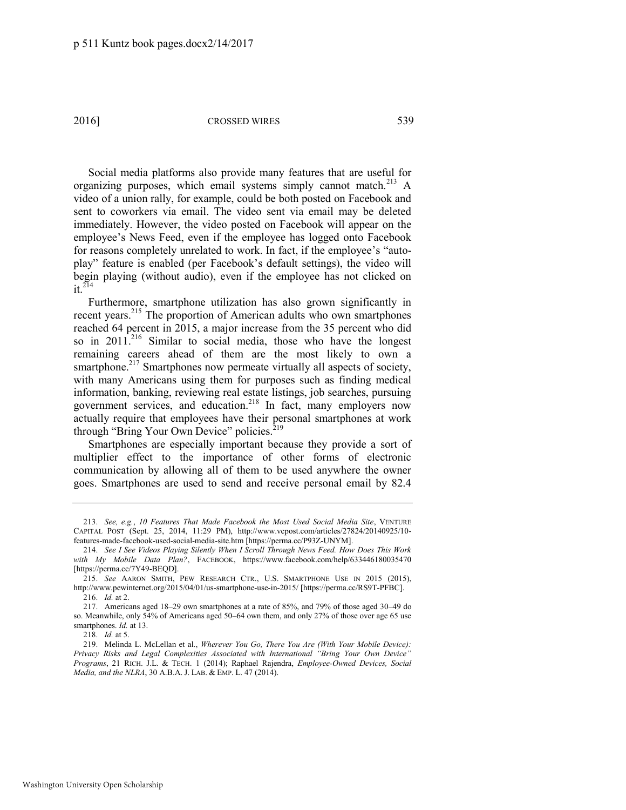Social media platforms also provide many features that are useful for organizing purposes, which email systems simply cannot match. $^{213}$  A video of a union rally, for example, could be both posted on Facebook and sent to coworkers via email. The video sent via email may be deleted immediately. However, the video posted on Facebook will appear on the employee's News Feed, even if the employee has logged onto Facebook for reasons completely unrelated to work. In fact, if the employee's "autoplay" feature is enabled (per Facebook's default settings), the video will begin playing (without audio), even if the employee has not clicked on  $it^{214}$ 

<span id="page-29-0"></span>Furthermore, smartphone utilization has also grown significantly in recent years.<sup>215</sup> The proportion of American adults who own smartphones reached 64 percent in 2015, a major increase from the 35 percent who did so in  $2011^{216}$  Similar to social media, those who have the longest remaining careers ahead of them are the most likely to own a smartphone.<sup>217</sup> Smartphones now permeate virtually all aspects of society, with many Americans using them for purposes such as finding medical information, banking, reviewing real estate listings, job searches, pursuing government services, and education.<sup>218</sup> In fact, many employers now actually require that employees have their personal smartphones at work through "Bring Your Own Device" policies.<sup>219</sup>

Smartphones are especially important because they provide a sort of multiplier effect to the importance of other forms of electronic communication by allowing all of them to be used anywhere the owner goes. Smartphones are used to send and receive personal email by 82.4

<sup>213.</sup> *See, e.g.*, *10 Features That Made Facebook the Most Used Social Media Site*, VENTURE CAPITAL POST (Sept. 25, 2014, 11:29 PM), http://www.vcpost.com/articles/27824/20140925/10 features-made-facebook-used-social-media-site.htm [https://perma.cc/P93Z-UNYM].

<sup>214.</sup> *See I See Videos Playing Silently When I Scroll Through News Feed. How Does This Work with My Mobile Data Plan?*, FACEBOOK, https://www.facebook.com/help/633446180035470 [https://perma.cc/7Y49-BEQD].

<sup>215.</sup> *See* AARON SMITH, PEW RESEARCH CTR., U.S. SMARTPHONE USE IN 2015 (2015), http://www.pewinternet.org/2015/04/01/us-smartphone-use-in-2015/ [https://perma.cc/RS9T-PFBC]. 216. *Id.* at 2.

<sup>217.</sup> Americans aged 18–29 own smartphones at a rate of 85%, and 79% of those aged 30–49 do so. Meanwhile, only 54% of Americans aged 50–64 own them, and only 27% of those over age 65 use smartphones. *Id.* at 13.

<sup>218.</sup> *Id.* at 5.

<sup>219.</sup> Melinda L. McLellan et al., *Wherever You Go, There You Are (With Your Mobile Device): Privacy Risks and Legal Complexities Associated with International "Bring Your Own Device" Programs*, 21 RICH. J.L. & TECH. 1 (2014); Raphael Rajendra, *Employee-Owned Devices, Social Media, and the NLRA*, 30 A.B.A. J. LAB. & EMP. L. 47 (2014).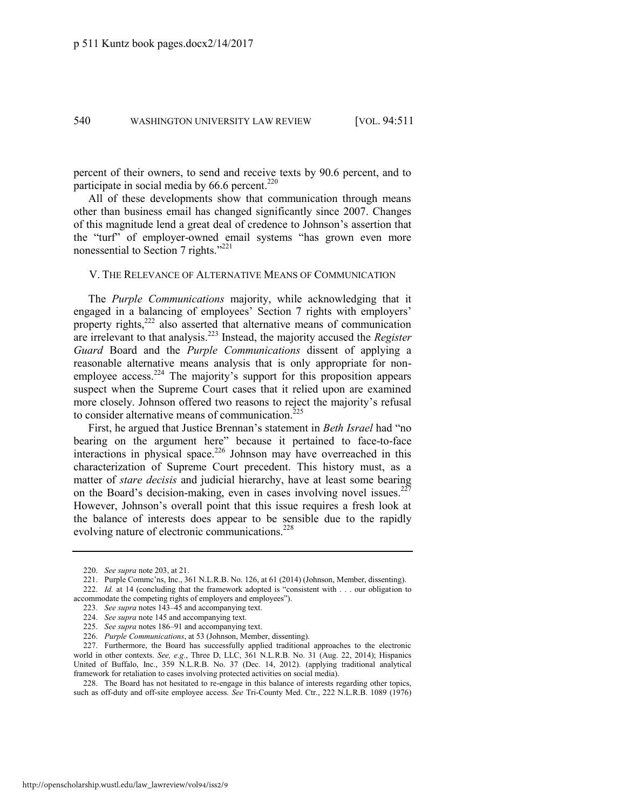percent of their owners, to send and receive texts by 90.6 percent, and to participate in social media by  $66.6$  percent.<sup>220</sup>

All of these developments show that communication through means other than business email has changed significantly since 2007. Changes of this magnitude lend a great deal of credence to Johnson's assertion that the "turf" of employer-owned email systems "has grown even more nonessential to Section 7 rights."<sup>221</sup>

#### V. THE RELEVANCE OF ALTERNATIVE MEANS OF COMMUNICATION

The *Purple Communications* majority, while acknowledging that it engaged in a balancing of employees' Section 7 rights with employers' property rights,<sup>222</sup> also asserted that alternative means of communication are irrelevant to that analysis.<sup>223</sup> Instead, the majority accused the *Register Guard* Board and the *Purple Communications* dissent of applying a reasonable alternative means analysis that is only appropriate for nonemployee access.<sup>224</sup> The majority's support for this proposition appears suspect when the Supreme Court cases that it relied upon are examined more closely. Johnson offered two reasons to reject the majority's refusal to consider alternative means of communication.<sup>225</sup>

First, he argued that Justice Brennan's statement in *Beth Israel* had "no bearing on the argument here" because it pertained to face-to-face interactions in physical space.<sup>226</sup> Johnson may have overreached in this characterization of Supreme Court precedent. This history must, as a matter of *stare decisis* and judicial hierarchy, have at least some bearing on the Board's decision-making, even in cases involving novel issues.<sup>227</sup> However, Johnson's overall point that this issue requires a fresh look at the balance of interests does appear to be sensible due to the rapidly evolving nature of electronic communications.<sup>228</sup>

228. The Board has not hesitated to re-engage in this balance of interests regarding other topics, such as off-duty and off-site employee access. *See* Tri-County Med. Ctr., 222 N.L.R.B. 1089 (1976)

<sup>220.</sup> *See supra* not[e 203,](#page-27-0) at 21.

<sup>221.</sup> Purple Commc'ns, Inc., 361 N.L.R.B. No. 126, at 61 (2014) (Johnson, Member, dissenting). 222. *Id.* at 14 (concluding that the framework adopted is "consistent with . . . our obligation to

accommodate the competing rights of employers and employees").

<sup>223.</sup> *See supra* note[s 143](#page-20-0)–45 and accompanying text.

<sup>224.</sup> *See supra* not[e 145 a](#page-20-1)nd accompanying text.

<sup>225.</sup> *See supra* note[s 186](#page-25-0)–91 and accompanying text.

<sup>226.</sup> *Purple Communications*, at 53 (Johnson, Member, dissenting).

<sup>227.</sup> Furthermore, the Board has successfully applied traditional approaches to the electronic world in other contexts. *See, e.g.*, Three D, LLC, 361 N.L.R.B. No. 31 (Aug. 22, 2014); Hispanics United of Buffalo, Inc., 359 N.L.R.B. No. 37 (Dec. 14, 2012). (applying traditional analytical framework for retaliation to cases involving protected activities on social media).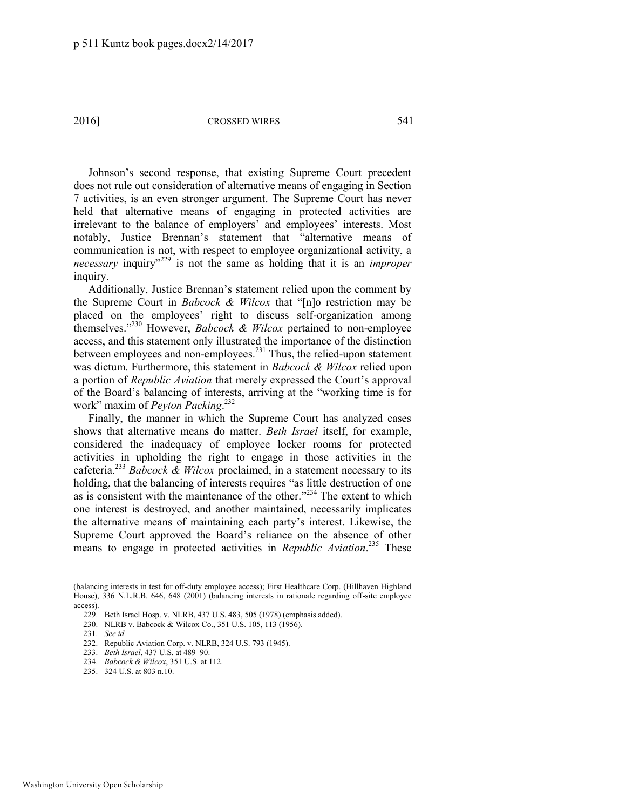Johnson's second response, that existing Supreme Court precedent does not rule out consideration of alternative means of engaging in Section 7 activities, is an even stronger argument. The Supreme Court has never held that alternative means of engaging in protected activities are irrelevant to the balance of employers' and employees' interests. Most notably, Justice Brennan's statement that "alternative means of communication is not, with respect to employee organizational activity, a *necessary* inquiry<sup>"229</sup> is not the same as holding that it is an *improper* inquiry.

Additionally, Justice Brennan's statement relied upon the comment by the Supreme Court in *Babcock & Wilcox* that "[n]o restriction may be placed on the employees' right to discuss self-organization among themselves." <sup>230</sup> However, *Babcock & Wilcox* pertained to non-employee access, and this statement only illustrated the importance of the distinction between employees and non-employees.<sup>231</sup> Thus, the relied-upon statement was dictum. Furthermore, this statement in *Babcock & Wilcox* relied upon a portion of *Republic Aviation* that merely expressed the Court's approval of the Board's balancing of interests, arriving at the "working time is for work" maxim of *Peyton Packing*. 232

Finally, the manner in which the Supreme Court has analyzed cases shows that alternative means do matter. *Beth Israel* itself, for example, considered the inadequacy of employee locker rooms for protected activities in upholding the right to engage in those activities in the cafeteria.<sup>233</sup> *Babcock & Wilcox* proclaimed, in a statement necessary to its holding, that the balancing of interests requires "as little destruction of one as is consistent with the maintenance of the other."<sup>234</sup> The extent to which one interest is destroyed, and another maintained, necessarily implicates the alternative means of maintaining each party's interest. Likewise, the Supreme Court approved the Board's reliance on the absence of other means to engage in protected activities in *Republic Aviation*. <sup>235</sup> These

235. 324 U.S. at 803 n.10.

<sup>(</sup>balancing interests in test for off-duty employee access); First Healthcare Corp. (Hillhaven Highland House), 336 N.L.R.B. 646, 648 (2001) (balancing interests in rationale regarding off-site employee access).

<sup>229.</sup> Beth Israel Hosp. v. NLRB, 437 U.S. 483, 505 (1978) (emphasis added).

<sup>230.</sup> NLRB v. Babcock & Wilcox Co., 351 U.S. 105, 113 (1956).

<sup>231.</sup> *See id.* 

<sup>232.</sup> Republic Aviation Corp. v. NLRB, 324 U.S. 793 (1945).

<sup>233.</sup> *Beth Israel*, 437 U.S. at 489–90.

<sup>234.</sup> *Babcock & Wilcox*, 351 U.S. at 112.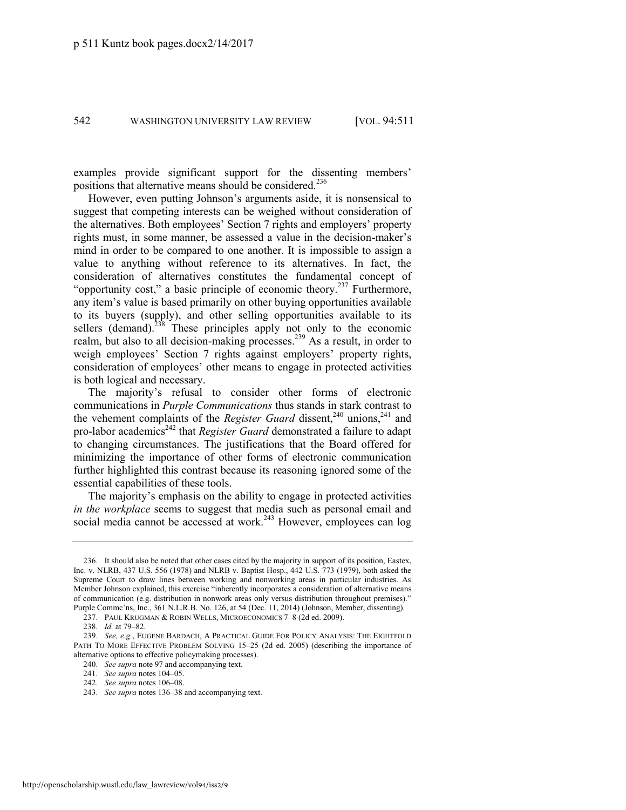examples provide significant support for the dissenting members' positions that alternative means should be considered.<sup>236</sup>

However, even putting Johnson's arguments aside, it is nonsensical to suggest that competing interests can be weighed without consideration of the alternatives. Both employees' Section 7 rights and employers' property rights must, in some manner, be assessed a value in the decision-maker's mind in order to be compared to one another. It is impossible to assign a value to anything without reference to its alternatives. In fact, the consideration of alternatives constitutes the fundamental concept of "opportunity cost," a basic principle of economic theory.<sup>237</sup> Furthermore, any item's value is based primarily on other buying opportunities available to its buyers (supply), and other selling opportunities available to its sellers (demand). $238$  These principles apply not only to the economic realm, but also to all decision-making processes.<sup>239</sup> As a result, in order to weigh employees' Section 7 rights against employers' property rights, consideration of employees' other means to engage in protected activities is both logical and necessary.

The majority's refusal to consider other forms of electronic communications in *Purple Communications* thus stands in stark contrast to the vehement complaints of the *Register Guard* dissent,<sup>240</sup> unions,<sup>241</sup> and pro-labor academics<sup>242</sup> that *Register Guard* demonstrated a failure to adapt to changing circumstances. The justifications that the Board offered for minimizing the importance of other forms of electronic communication further highlighted this contrast because its reasoning ignored some of the essential capabilities of these tools.

The majority's emphasis on the ability to engage in protected activities *in the workplace* seems to suggest that media such as personal email and social media cannot be accessed at work.<sup>243</sup> However, employees can  $log$ 

<sup>236.</sup> It should also be noted that other cases cited by the majority in support of its position, Eastex, Inc. v. NLRB, 437 U.S. 556 (1978) and NLRB v. Baptist Hosp., 442 U.S. 773 (1979), both asked the Supreme Court to draw lines between working and nonworking areas in particular industries. As Member Johnson explained, this exercise "inherently incorporates a consideration of alternative means of communication (e.g. distribution in nonwork areas only versus distribution throughout premises)." Purple Commc'ns, Inc., 361 N.L.R.B. No. 126, at 54 (Dec. 11, 2014) (Johnson, Member, dissenting).

<sup>237.</sup> PAUL KRUGMAN & ROBIN WELLS, MICROECONOMICS 7–8 (2d ed. 2009).

<sup>238.</sup> *Id.* at 79–82.

<sup>239.</sup> *See, e.g.*, EUGENE BARDACH, A PRACTICAL GUIDE FOR POLICY ANALYSIS: THE EIGHTFOLD PATH TO MORE EFFECTIVE PROBLEM SOLVING 15–25 (2d ed. 2005) (describing the importance of alternative options to effective policymaking processes).

<sup>240.</sup> *See supra* not[e 97 a](#page-14-0)nd accompanying text.

<sup>241.</sup> *See supra* note[s 104](#page-15-0)–05.

<sup>242.</sup> *See supra* note[s 106](#page-15-1)–08.

<sup>243.</sup> *See supra* note[s 136](#page-19-0)–38 and accompanying text.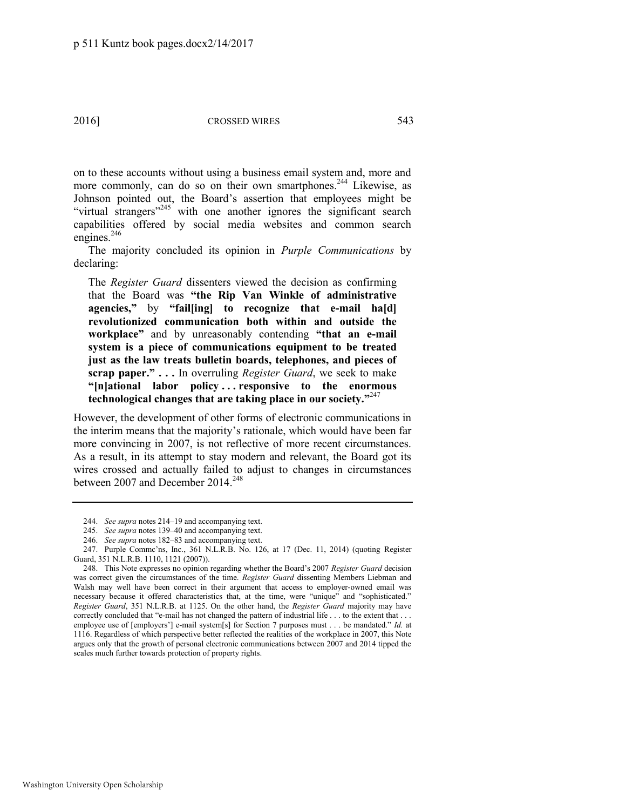on to these accounts without using a business email system and, more and more commonly, can do so on their own smartphones.<sup>244</sup> Likewise, as Johnson pointed out, the Board's assertion that employees might be "virtual strangers"<sup>245</sup> with one another ignores the significant search capabilities offered by social media websites and common search engines.<sup>246</sup>

The majority concluded its opinion in *Purple Communications* by declaring:

The *Register Guard* dissenters viewed the decision as confirming that the Board was **"the Rip Van Winkle of administrative agencies,"** by **"fail[ing] to recognize that e-mail ha[d] revolutionized communication both within and outside the workplace"** and by unreasonably contending **"that an e-mail system is a piece of communications equipment to be treated just as the law treats bulletin boards, telephones, and pieces of scrap paper." . . .** In overruling *Register Guard*, we seek to make **"[n]ational labor policy . . . responsive to the enormous technological changes that are taking place in our society."** 247

However, the development of other forms of electronic communications in the interim means that the majority's rationale, which would have been far more convincing in 2007, is not reflective of more recent circumstances. As a result, in its attempt to stay modern and relevant, the Board got its wires crossed and actually failed to adjust to changes in circumstances between 2007 and December 2014.<sup>248</sup>

<sup>244.</sup> *See supra* note[s 214](#page-29-0)–19 and accompanying text.

<sup>245.</sup> *See supra* note[s 139](#page-19-1)–40 and accompanying text.

<sup>246.</sup> *See supra* note[s 182](#page-24-1)–83 and accompanying text.

<sup>247.</sup> Purple Commc'ns, Inc., 361 N.L.R.B. No. 126, at 17 (Dec. 11, 2014) (quoting Register Guard, 351 N.L.R.B. 1110, 1121 (2007)).

<sup>248.</sup> This Note expresses no opinion regarding whether the Board's 2007 *Register Guard* decision was correct given the circumstances of the time. *Register Guard* dissenting Members Liebman and Walsh may well have been correct in their argument that access to employer-owned email was necessary because it offered characteristics that, at the time, were "unique" and "sophisticated." *Register Guard*, 351 N.L.R.B. at 1125. On the other hand, the *Register Guard* majority may have correctly concluded that "e-mail has not changed the pattern of industrial life . . . to the extent that . . . employee use of [employers'] e-mail system[s] for Section 7 purposes must . . . be mandated." *Id.* at 1116. Regardless of which perspective better reflected the realities of the workplace in 2007, this Note argues only that the growth of personal electronic communications between 2007 and 2014 tipped the scales much further towards protection of property rights.